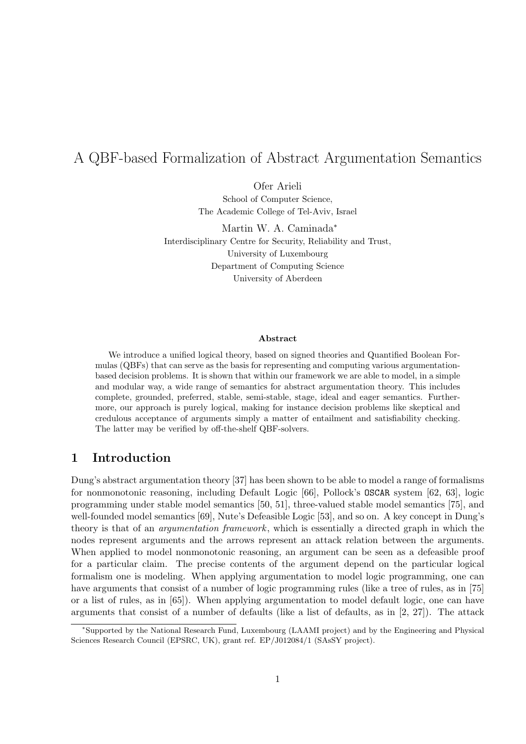# A QBF-based Formalization of Abstract Argumentation Semantics

Ofer Arieli School of Computer Science, The Academic College of Tel-Aviv, Israel

Martin W. A. Caminada*<sup>∗</sup>* Interdisciplinary Centre for Security, Reliability and Trust, University of Luxembourg Department of Computing Science University of Aberdeen

#### **Abstract**

We introduce a unified logical theory, based on signed theories and Quantified Boolean Formulas (QBFs) that can serve as the basis for representing and computing various argumentationbased decision problems. It is shown that within our framework we are able to model, in a simple and modular way, a wide range of semantics for abstract argumentation theory. This includes complete, grounded, preferred, stable, semi-stable, stage, ideal and eager semantics. Furthermore, our approach is purely logical, making for instance decision problems like skeptical and credulous acceptance of arguments simply a matter of entailment and satisfiability checking. The latter may be verified by off-the-shelf QBF-solvers.

## **1 Introduction**

Dung's abstract argumentation theory [37] has been shown to be able to model a range of formalisms for nonmonotonic reasoning, including Default Logic [66], Pollock's OSCAR system [62, 63], logic programming under stable model semantics [50, 51], three-valued stable model semantics [75], and well-founded model semantics [69], Nute's Defeasible Logic [53], and so on. A key concept in Dung's theory is that of an *argumentation framework* , which is essentially a directed graph in which the nodes represent arguments and the arrows represent an attack relation between the arguments. When applied to model nonmonotonic reasoning, an argument can be seen as a defeasible proof for a particular claim. The precise contents of the argument depend on the particular logical formalism one is modeling. When applying argumentation to model logic programming, one can have arguments that consist of a number of logic programming rules (like a tree of rules, as in [75] or a list of rules, as in [65]). When applying argumentation to model default logic, one can have arguments that consist of a number of defaults (like a list of defaults, as in  $[2, 27]$ ). The attack

*<sup>∗</sup>*Supported by the National Research Fund, Luxembourg (LAAMI project) and by the Engineering and Physical Sciences Research Council (EPSRC, UK), grant ref. EP/J012084/1 (SAsSY project).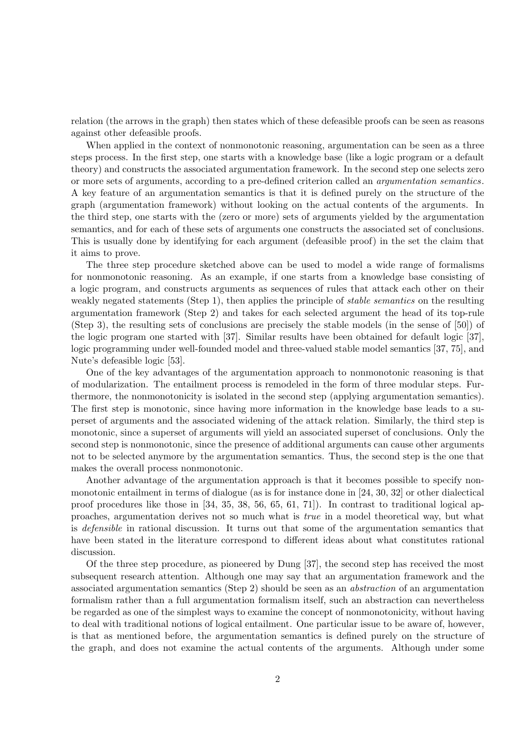relation (the arrows in the graph) then states which of these defeasible proofs can be seen as reasons against other defeasible proofs.

When applied in the context of nonmonotonic reasoning, argumentation can be seen as a three steps process. In the first step, one starts with a knowledge base (like a logic program or a default theory) and constructs the associated argumentation framework. In the second step one selects zero or more sets of arguments, according to a pre-defined criterion called an *argumentation semantics*. A key feature of an argumentation semantics is that it is defined purely on the structure of the graph (argumentation framework) without looking on the actual contents of the arguments. In the third step, one starts with the (zero or more) sets of arguments yielded by the argumentation semantics, and for each of these sets of arguments one constructs the associated set of conclusions. This is usually done by identifying for each argument (defeasible proof) in the set the claim that it aims to prove.

The three step procedure sketched above can be used to model a wide range of formalisms for nonmonotonic reasoning. As an example, if one starts from a knowledge base consisting of a logic program, and constructs arguments as sequences of rules that attack each other on their weakly negated statements (Step 1), then applies the principle of *stable semantics* on the resulting argumentation framework (Step 2) and takes for each selected argument the head of its top-rule (Step 3), the resulting sets of conclusions are precisely the stable models (in the sense of [50]) of the logic program one started with [37]. Similar results have been obtained for default logic [37], logic programming under well-founded model and three-valued stable model semantics [37, 75], and Nute's defeasible logic [53].

One of the key advantages of the argumentation approach to nonmonotonic reasoning is that of modularization. The entailment process is remodeled in the form of three modular steps. Furthermore, the nonmonotonicity is isolated in the second step (applying argumentation semantics). The first step is monotonic, since having more information in the knowledge base leads to a superset of arguments and the associated widening of the attack relation. Similarly, the third step is monotonic, since a superset of arguments will yield an associated superset of conclusions. Only the second step is nonmonotonic, since the presence of additional arguments can cause other arguments not to be selected anymore by the argumentation semantics. Thus, the second step is the one that makes the overall process nonmonotonic.

Another advantage of the argumentation approach is that it becomes possible to specify nonmonotonic entailment in terms of dialogue (as is for instance done in [24, 30, 32] or other dialectical proof procedures like those in [34, 35, 38, 56, 65, 61, 71]). In contrast to traditional logical approaches, argumentation derives not so much what is *true* in a model theoretical way, but what is *defensible* in rational discussion. It turns out that some of the argumentation semantics that have been stated in the literature correspond to different ideas about what constitutes rational discussion.

Of the three step procedure, as pioneered by Dung [37], the second step has received the most subsequent research attention. Although one may say that an argumentation framework and the associated argumentation semantics (Step 2) should be seen as an *abstraction* of an argumentation formalism rather than a full argumentation formalism itself, such an abstraction can nevertheless be regarded as one of the simplest ways to examine the concept of nonmonotonicity, without having to deal with traditional notions of logical entailment. One particular issue to be aware of, however, is that as mentioned before, the argumentation semantics is defined purely on the structure of the graph, and does not examine the actual contents of the arguments. Although under some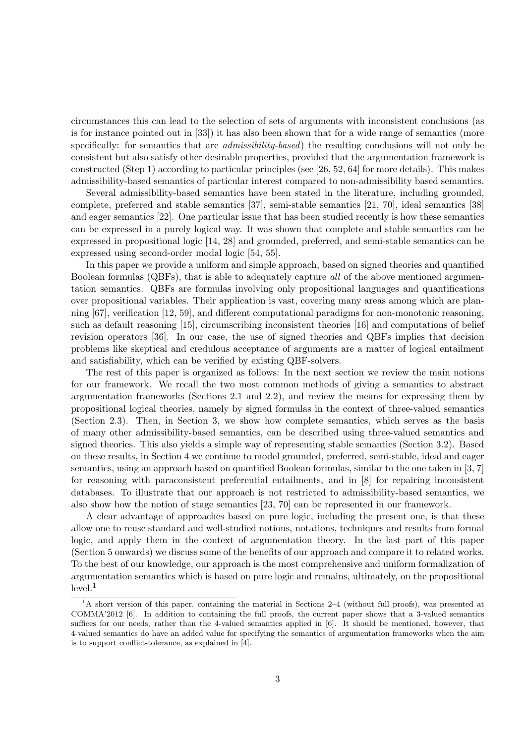circumstances this can lead to the selection of sets of arguments with inconsistent conclusions (as is for instance pointed out in [33]) it has also been shown that for a wide range of semantics (more specifically: for semantics that are *admissibility-based*) the resulting conclusions will not only be consistent but also satisfy other desirable properties, provided that the argumentation framework is constructed (Step 1) according to particular principles (see [26, 52, 64] for more details). This makes admissibility-based semantics of particular interest compared to non-admissibility based semantics.

Several admissibility-based semantics have been stated in the literature, including grounded, complete, preferred and stable semantics [37], semi-stable semantics [21, 70], ideal semantics [38] and eager semantics [22]. One particular issue that has been studied recently is how these semantics can be expressed in a purely logical way. It was shown that complete and stable semantics can be expressed in propositional logic [14, 28] and grounded, preferred, and semi-stable semantics can be expressed using second-order modal logic [54, 55].

In this paper we provide a uniform and simple approach, based on signed theories and quantified Boolean formulas (QBFs), that is able to adequately capture *all* of the above mentioned argumentation semantics. QBFs are formulas involving only propositional languages and quantifications over propositional variables. Their application is vast, covering many areas among which are planning [67], verification [12, 59], and different computational paradigms for non-monotonic reasoning, such as default reasoning [15], circumscribing inconsistent theories [16] and computations of belief revision operators [36]. In our case, the use of signed theories and QBFs implies that decision problems like skeptical and credulous acceptance of arguments are a matter of logical entailment and satisfiability, which can be verified by existing QBF-solvers.

The rest of this paper is organized as follows: In the next section we review the main notions for our framework. We recall the two most common methods of giving a semantics to abstract argumentation frameworks (Sections 2.1 and 2.2), and review the means for expressing them by propositional logical theories, namely by signed formulas in the context of three-valued semantics (Section 2.3). Then, in Section 3, we show how complete semantics, which serves as the basis of many other admissibility-based semantics, can be described using three-valued semantics and signed theories. This also yields a simple way of representing stable semantics (Section 3.2). Based on these results, in Section 4 we continue to model grounded, preferred, semi-stable, ideal and eager semantics, using an approach based on quantified Boolean formulas, similar to the one taken in [3, 7] for reasoning with paraconsistent preferential entailments, and in [8] for repairing inconsistent databases. To illustrate that our approach is not restricted to admissibility-based semantics, we also show how the notion of stage semantics [23, 70] can be represented in our framework.

A clear advantage of approaches based on pure logic, including the present one, is that these allow one to reuse standard and well-studied notions, notations, techniques and results from formal logic, and apply them in the context of argumentation theory. In the last part of this paper (Section 5 onwards) we discuss some of the benefits of our approach and compare it to related works. To the best of our knowledge, our approach is the most comprehensive and uniform formalization of argumentation semantics which is based on pure logic and remains, ultimately, on the propositional  $level.<sup>1</sup>$ 

<sup>&</sup>lt;sup>1</sup>A short version of this paper, containing the material in Sections 2–4 (without full proofs), was presented at COMMA'2012 [6]. In addition to containing the full proofs, the current paper shows that a 3-valued semantics suffices for our needs, rather than the 4-valued semantics applied in [6]. It should be mentioned, however, that 4-valued semantics do have an added value for specifying the semantics of argumentation frameworks when the aim is to support conflict-tolerance, as explained in [4].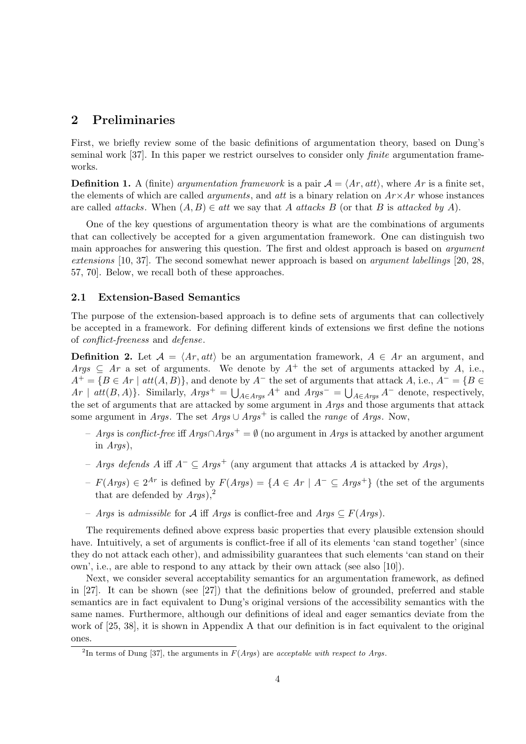### **2 Preliminaries**

First, we briefly review some of the basic definitions of argumentation theory, based on Dung's seminal work [37]. In this paper we restrict ourselves to consider only *finite* argumentation frameworks.

**Definition 1.** A (finite) *argumentation framework* is a pair  $A = \langle Ar, att \rangle$ , where Ar is a finite set, the elements of which are called *arguments*, and *att* is a binary relation on  $Ar \times Ar$  whose instances are called *attacks*. When  $(A, B) \in$  *att* we say that *A attacks B* (or that *B* is *attacked by A*).

One of the key questions of argumentation theory is what are the combinations of arguments that can collectively be accepted for a given argumentation framework. One can distinguish two main approaches for answering this question. The first and oldest approach is based on *argument extensions* [10, 37]. The second somewhat newer approach is based on *argument labellings* [20, 28, 57, 70]. Below, we recall both of these approaches.

#### **2.1 Extension-Based Semantics**

The purpose of the extension-based approach is to define sets of arguments that can collectively be accepted in a framework. For defining different kinds of extensions we first define the notions of *conflict-freeness* and *defense*.

**Definition 2.** Let  $A = \langle Ar, att \rangle$  be an argumentation framework,  $A \in Ar$  an argument, and *Args*  $\subseteq$  *Ar* a set of arguments. We denote by  $A^+$  the set of arguments attacked by *A*, i.e.,  $A^+ = \{B \in Ar \mid att(A, B)\}\$ , and denote by  $A^-$  the set of arguments that attack  $A$ , i.e.,  $A^- = \{B \in A\}$  $Ar \mid \text{att}(B, A)$ }. Similarly,  $\text{Args}^+ = \bigcup_{A \in \text{Args}} A^+$  and  $\text{Args}^- = \bigcup_{A \in \text{Args}} A^-$  denote, respectively, the set of arguments that are attacked by some argument in *Args* and those arguments that attack some argument in *Args*. The set  $Args \cup Args^+$  is called the *range* of *Args*. Now,

- *Args* is *conflict-free* iff *Args∩Args*<sup>+</sup> = *∅* (no argument in *Args* is attacked by another argument in *Args*),
- *Args defends A* iff *A<sup>−</sup> ⊆ Args*<sup>+</sup> (any argument that attacks *A* is attacked by *Args*),
- $F(Args) ∈ 2<sup>Ar</sup>$  is defined by  $F(Args) = {A ∈ Ar | A<sup>−</sup> ⊆ Args<sup>+</sup>}$  (the set of the arguments that are defended by  $Args$ ),<sup>2</sup>
- *Args* is *admissible* for *A* iff *Args* is conflict-free and *Args ⊆ F*(*Args*).

The requirements defined above express basic properties that every plausible extension should have. Intuitively, a set of arguments is conflict-free if all of its elements 'can stand together' (since they do not attack each other), and admissibility guarantees that such elements 'can stand on their own', i.e., are able to respond to any attack by their own attack (see also [10]).

Next, we consider several acceptability semantics for an argumentation framework, as defined in [27]. It can be shown (see [27]) that the definitions below of grounded, preferred and stable semantics are in fact equivalent to Dung's original versions of the accessibility semantics with the same names. Furthermore, although our definitions of ideal and eager semantics deviate from the work of [25, 38], it is shown in Appendix A that our definition is in fact equivalent to the original ones.

<sup>2</sup> In terms of Dung [37], the arguments in *F*(*Args*) are *acceptable with respect to Args*.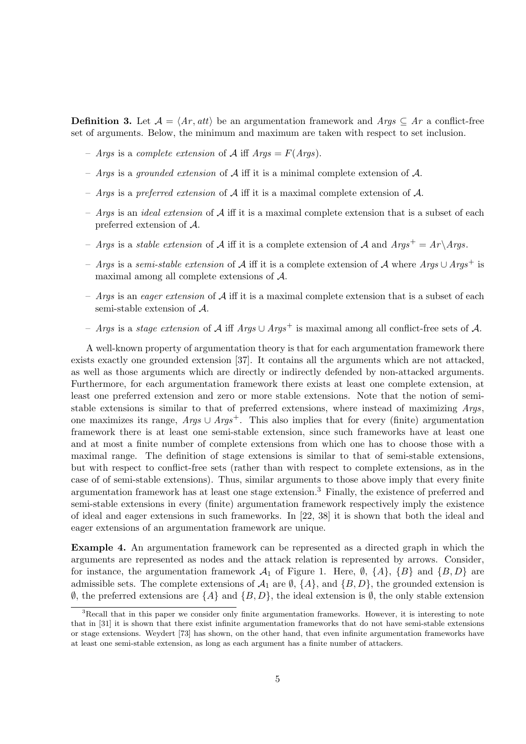**Definition 3.** Let  $\mathcal{A} = \langle Ar, att \rangle$  be an argumentation framework and  $Arg \subseteq Ar$  a conflict-free set of arguments. Below, the minimum and maximum are taken with respect to set inclusion.

- $-$  *Args* is a *complete extension* of  $\mathcal{A}$  iff  $Args = F(A \, \text{rgs}).$
- *Args* is a *grounded extension* of *A* iff it is a minimal complete extension of *A*.
- *Args* is a *preferred extension* of *A* iff it is a maximal complete extension of *A*.
- *Args* is an *ideal extension* of *A* iff it is a maximal complete extension that is a subset of each preferred extension of *A*.
- *Args* is a *stable extension* of  $A$  iff it is a complete extension of  $A$  and  $Args^+ = Ar\angle Args$ .
- *Args* is a *semi-stable extension* of *A* iff it is a complete extension of *A* where *Args ∪ Args*<sup>+</sup> is maximal among all complete extensions of *A*.
- *Args* is an *eager extension* of *A* iff it is a maximal complete extension that is a subset of each semi-stable extension of *A*.
- *Args* is a *stage extension* of *A* iff *Args ∪ Args*<sup>+</sup> is maximal among all conflict-free sets of *A*.

A well-known property of argumentation theory is that for each argumentation framework there exists exactly one grounded extension [37]. It contains all the arguments which are not attacked, as well as those arguments which are directly or indirectly defended by non-attacked arguments. Furthermore, for each argumentation framework there exists at least one complete extension, at least one preferred extension and zero or more stable extensions. Note that the notion of semistable extensions is similar to that of preferred extensions, where instead of maximizing *Args*, one maximizes its range,  $Args \cup Args^{+}$ . This also implies that for every (finite) argumentation framework there is at least one semi-stable extension, since such frameworks have at least one and at most a finite number of complete extensions from which one has to choose those with a maximal range. The definition of stage extensions is similar to that of semi-stable extensions, but with respect to conflict-free sets (rather than with respect to complete extensions, as in the case of of semi-stable extensions). Thus, similar arguments to those above imply that every finite argumentation framework has at least one stage extension.<sup>3</sup> Finally, the existence of preferred and semi-stable extensions in every (finite) argumentation framework respectively imply the existence of ideal and eager extensions in such frameworks. In [22, 38] it is shown that both the ideal and eager extensions of an argumentation framework are unique.

**Example 4.** An argumentation framework can be represented as a directed graph in which the arguments are represented as nodes and the attack relation is represented by arrows. Consider, for instance, the argumentation framework  $A_1$  of Figure 1. Here,  $\emptyset$ ,  $\{A\}$ ,  $\{B\}$  and  $\{B, D\}$  are admissible sets. The complete extensions of  $\mathcal{A}_1$  are  $\emptyset$ ,  $\{A\}$ , and  $\{B, D\}$ , the grounded extension is *∅*, the preferred extensions are *{A}* and *{B, D}*, the ideal extension is *∅*, the only stable extension

<sup>&</sup>lt;sup>3</sup>Recall that in this paper we consider only finite argumentation frameworks. However, it is interesting to note that in [31] it is shown that there exist infinite argumentation frameworks that do not have semi-stable extensions or stage extensions. Weydert [73] has shown, on the other hand, that even infinite argumentation frameworks have at least one semi-stable extension, as long as each argument has a finite number of attackers.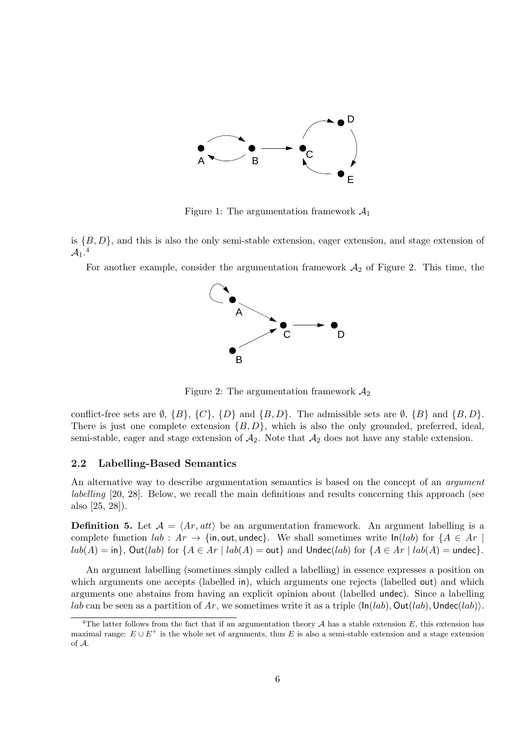

Figure 1: The argumentation framework *A*<sup>1</sup>

is *{B, D}*, and this is also the only semi-stable extension, eager extension, and stage extension of  $\mathcal{A}_1$ .<sup>4</sup>

For another example, consider the argumentation framework  $A_2$  of Figure 2. This time, the



Figure 2: The argumentation framework  $A_2$ 

conflict-free sets are  $\emptyset$ ,  $\{B\}$ ,  $\{C\}$ ,  $\{D\}$  and  $\{B,D\}$ . The admissible sets are  $\emptyset$ ,  $\{B\}$  and  $\{B,D\}$ . There is just one complete extension *{B, D}*, which is also the only grounded, preferred, ideal, semi-stable, eager and stage extension of  $A_2$ . Note that  $A_2$  does not have any stable extension.

#### **2.2 Labelling-Based Semantics**

An alternative way to describe argumentation semantics is based on the concept of an *argument labelling* [20, 28]. Below, we recall the main definitions and results concerning this approach (see also [25, 28]).

**Definition 5.** Let  $A = \langle Ar, att \rangle$  be an argumentation framework. An argument labelling is a complete function  $lab: Ar \rightarrow \{in, out, under\}.$  We shall sometimes write  $ln(lab)$  for  ${A \in Ar \mid h}$  $lab(A) = \text{in}$ ,  $Out(lab)$  for  $\{A \in Ar \mid lab(A) = \text{out}\}$  and  $Undec(lab)$  for  $\{A \in Ar \mid lab(A) = \text{undec}\}.$ 

An argument labelling (sometimes simply called a labelling) in essence expresses a position on which arguments one accepts (labelled in), which arguments one rejects (labelled out) and which arguments one abstains from having an explicit opinion about (labelled undec). Since a labelling *lab* can be seen as a partition of Ar, we sometimes write it as a triple  $\langle \ln(lab), Out(lab), Undec(lab)\rangle$ .

<sup>&</sup>lt;sup>4</sup>The latter follows from the fact that if an argumentation theory  $A$  has a stable extension  $E$ , this extension has maximal range:  $E \cup E^+$  is the whole set of arguments, thus  $E$  is also a semi-stable extension and a stage extension of *A*.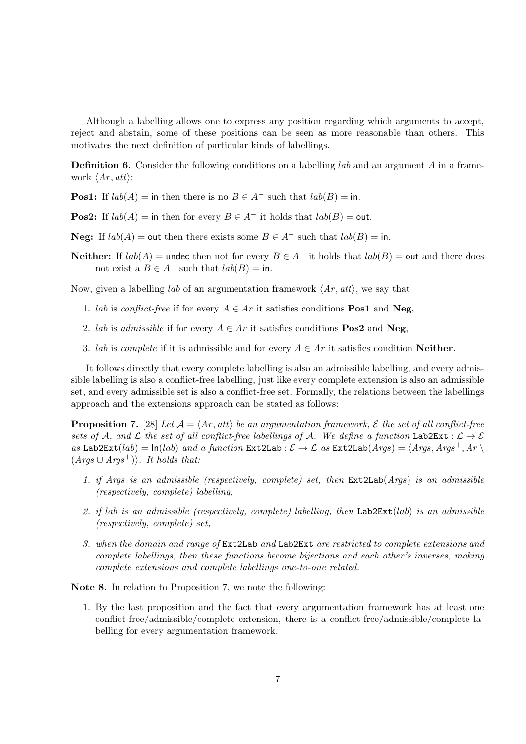Although a labelling allows one to express any position regarding which arguments to accept, reject and abstain, some of these positions can be seen as more reasonable than others. This motivates the next definition of particular kinds of labellings.

**Definition 6.** Consider the following conditions on a labelling *lab* and an argument A in a framework  $\langle Ar, att \rangle$ :

**Pos1:** If  $lab(A) =$  in then there is no  $B \in A^-$  such that  $lab(B) =$  in.

**Pos2:** If  $lab(A) =$  in then for every  $B \in A^-$  it holds that  $lab(B) =$  out.

**Neg:** If  $lab(A) =$  out then there exists some  $B \in A^-$  such that  $lab(B) =$  in.

**Neither:** If  $lab(A)$  = undec then not for every  $B \in A^-$  it holds that  $lab(B)$  = out and there does not exist a  $B \in A^-$  such that  $lab(B) = \text{in}$ .

Now, given a labelling *lab* of an argumentation framework *⟨Ar , att⟩*, we say that

- 1. *lab* is *conflict-free* if for every  $A \in Ar$  it satisfies conditions **Pos1** and **Neg**,
- 2. *lab* is *admissible* if for every  $A \in Ar$  it satisfies conditions **Pos2** and **Neg**,
- 3. *lab* is *complete* if it is admissible and for every  $A \in Ar$  it satisfies condition **Neither**.

It follows directly that every complete labelling is also an admissible labelling, and every admissible labelling is also a conflict-free labelling, just like every complete extension is also an admissible set, and every admissible set is also a conflict-free set. Formally, the relations between the labellings approach and the extensions approach can be stated as follows:

**Proposition 7.** [28] *Let*  $A = \langle Ar, att \rangle$  *be an argumentation framework,*  $\mathcal E$  *the set of all conflict-free sets of A*, and *L* the set of all conflict-free labellings of *A*. We define a function Lab2Ext :  $\mathcal{L} \to \mathcal{E}$  $as$  Lab2Ext(*lab*) =  $\ln(lab)$  *and a function* Ext2Lab :  $\mathcal{E} \to \mathcal{L}$  *as* Ext2Lab( $Args$ ) =  $\langle Args, Args^+, Ar \rangle$  $(A\text{rqs} \cup \text{Arqs}^+)$ *\. It holds that:* 

- *1. if Args is an admissible (respectively, complete) set, then* Ext2Lab(*Args*) *is an admissible (respectively, complete) labelling,*
- *2. if lab is an admissible (respectively, complete) labelling, then* Lab2Ext(*lab*) *is an admissible (respectively, complete) set,*
- *3. when the domain and range of* Ext2Lab *and* Lab2Ext *are restricted to complete extensions and complete labellings, then these functions become bijections and each other's inverses, making complete extensions and complete labellings one-to-one related.*

**Note 8.** In relation to Proposition 7, we note the following:

1. By the last proposition and the fact that every argumentation framework has at least one conflict-free/admissible/complete extension, there is a conflict-free/admissible/complete labelling for every argumentation framework.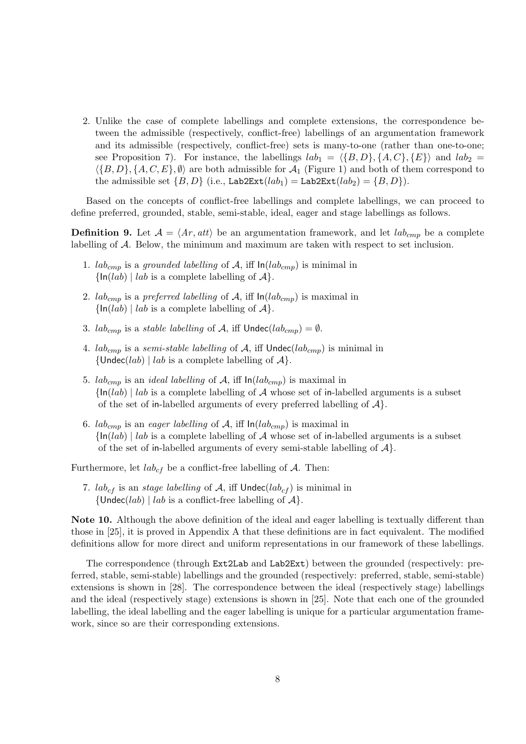2. Unlike the case of complete labellings and complete extensions, the correspondence between the admissible (respectively, conflict-free) labellings of an argumentation framework and its admissible (respectively, conflict-free) sets is many-to-one (rather than one-to-one; see Proposition 7). For instance, the labellings  $lab_1 = \langle \{B, D\}, \{A, C\}, \{E\} \rangle$  and  $lab_2 =$  $\langle {B, D}, {A, C, E}, \emptyset \rangle$  are both admissible for  $\mathcal{A}_1$  (Figure 1) and both of them correspond to the admissible set  ${B, D}$  (i.e., Lab2Ext( $lab_1$ ) = Lab2Ext( $lab_2$ ) =  ${B, D}$ ).

Based on the concepts of conflict-free labellings and complete labellings, we can proceed to define preferred, grounded, stable, semi-stable, ideal, eager and stage labellings as follows.

**Definition 9.** Let  $A = \langle Ar, att \rangle$  be an argumentation framework, and let  $lab_{cmp}$  be a complete labelling of *A*. Below, the minimum and maximum are taken with respect to set inclusion.

- 1.  $lab_{cmp}$  is a *grounded labelling* of  $A$ , iff  $ln(lab_{cmp})$  is minimal in  $\{ \ln(lab) \mid lab \text{ is a complete labelling of } A \}.$
- 2. *lab<sub>cmp</sub>* is a *preferred labelling* of A, iff  $ln(lab_{cmp})$  is maximal in  $\{ \ln(lab) \mid lab \text{ is a complete labelling of } A \}.$
- 3. *lab<sub>cmp</sub>* is a *stable labelling* of *A*, iff  $\nu$ ndec( $lab_{cmp}$ ) =  $\emptyset$ .
- 4.  $lab_{cmp}$  is a *semi-stable labelling* of A, iff  $Undec(lab_{cmp})$  is minimal in  $\{$  Undec(*lab*) | *lab* is a complete labelling of  $\mathcal{A}$  }.
- 5. *lab<sub>cmp</sub>* is an *ideal labelling* of A, iff  $ln(lab_{cmp})$  is maximal in  $\{ln(lab) \mid lab$  is a complete labelling of *A* whose set of in-labelled arguments is a subset of the set of in-labelled arguments of every preferred labelling of *A}*.
- 6. *lab<sub>cmp</sub>* is an *eager labelling* of  $A$ , iff  $\ln(lab_{cmp})$  is maximal in  $\{ln(lab) \mid lab$  is a complete labelling of *A* whose set of in-labelled arguments is a subset of the set of in-labelled arguments of every semi-stable labelling of *A}*.

Furthermore, let  $lab_{cf}$  be a conflict-free labelling of  $A$ . Then:

7.  $lab_{cf}$  is an *stage labelling* of A, iff  $Under(lab_{cf})$  is minimal in  ${\lbrace$  Undec(*lab*) | *lab* is a conflict-free labelling of  $A$ .

**Note 10.** Although the above definition of the ideal and eager labelling is textually different than those in [25], it is proved in Appendix A that these definitions are in fact equivalent. The modified definitions allow for more direct and uniform representations in our framework of these labellings.

The correspondence (through Ext2Lab and Lab2Ext) between the grounded (respectively: preferred, stable, semi-stable) labellings and the grounded (respectively: preferred, stable, semi-stable) extensions is shown in [28]. The correspondence between the ideal (respectively stage) labellings and the ideal (respectively stage) extensions is shown in [25]. Note that each one of the grounded labelling, the ideal labelling and the eager labelling is unique for a particular argumentation framework, since so are their corresponding extensions.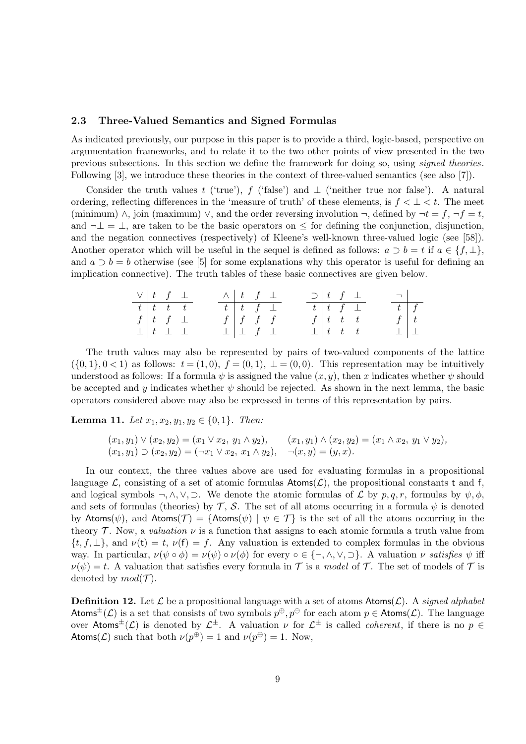#### **2.3 Three-Valued Semantics and Signed Formulas**

As indicated previously, our purpose in this paper is to provide a third, logic-based, perspective on argumentation frameworks, and to relate it to the two other points of view presented in the two previous subsections. In this section we define the framework for doing so, using *signed theories*. Following [3], we introduce these theories in the context of three-valued semantics (see also [7]).

Consider the truth values *t* ('true'), *f* ('false') and  $\perp$  ('neither true nor false'). A natural ordering, reflecting differences in the 'measure of truth' of these elements, is  $f < \perp < t$ . The meet (minimum)  $\wedge$ , join (maximum)  $\vee$ , and the order reversing involution  $\neg$ , defined by  $\neg t = f$ ,  $\neg f = t$ , and *¬⊥* = *⊥*, are taken to be the basic operators on *≤* for defining the conjunction, disjunction, and the negation connectives (respectively) of Kleene's well-known three-valued logic (see [58]). Another operator which will be useful in the sequel is defined as follows:  $a \supset b = t$  if  $a \in \{f, \perp\}$ , and  $a \supset b = b$  otherwise (see [5] for some explanations why this operator is useful for defining an implication connective). The truth tables of these basic connectives are given below.

| $\vee$ $\begin{array}{ccc} t & f & \perp \end{array}$                  |  |                                 |  | $\wedge$ $t$ $f$ $\perp$  |  | $\supset$   t f $\perp$ |                         |                 | $\Box$             |  |
|------------------------------------------------------------------------|--|---------------------------------|--|---------------------------|--|-------------------------|-------------------------|-----------------|--------------------|--|
| $\begin{array}{ c c c c c }\hline t & t & t & t \\ \hline \end{array}$ |  |                                 |  | $t$ $t$ $f$ $\perp$       |  | $t$ $t$ $f$ $\bot$      |                         |                 | $\boxed{t \mid f}$ |  |
|                                                                        |  | $f   t f \perp$                 |  | $f \mid f \mid f \mid f$  |  |                         | $f \,   \, t \, t \, t$ |                 | $f \mid t$         |  |
|                                                                        |  | $\perp$ $\perp$ $\perp$ $\perp$ |  | $\perp$ $\perp$ f $\perp$ |  |                         |                         | $\perp$   t t t | $\perp$ $\perp$    |  |

The truth values may also be represented by pairs of two-valued components of the lattice  $($ {0,1},0 < 1) as follows:  $t = (1,0)$ ,  $f = (0,1)$ ,  $\bot = (0,0)$ . This representation may be intuitively understood as follows: If a formula  $\psi$  is assigned the value  $(x, y)$ , then *x* indicates whether  $\psi$  should be accepted and *y* indicates whether  $\psi$  should be rejected. As shown in the next lemma, the basic operators considered above may also be expressed in terms of this representation by pairs.

**Lemma 11.** *Let*  $x_1, x_2, y_1, y_2 \in \{0, 1\}$ *. Then:* 

$$
(x_1, y_1) \vee (x_2, y_2) = (x_1 \vee x_2, y_1 \wedge y_2), \qquad (x_1, y_1) \wedge (x_2, y_2) = (x_1 \wedge x_2, y_1 \vee y_2),
$$
  

$$
(x_1, y_1) \supset (x_2, y_2) = (\neg x_1 \vee x_2, x_1 \wedge y_2), \qquad \neg(x, y) = (y, x).
$$

In our context, the three values above are used for evaluating formulas in a propositional language  $\mathcal{L}$ , consisting of a set of atomic formulas  $\mathsf{Atoms}(\mathcal{L})$ , the propositional constants t and f, and logical symbols  $\neg, \wedge, \vee, \supset$ . We denote the atomic formulas of *L* by *p, q, r*, formulas by  $\psi, \phi$ , and sets of formulas (theories) by  $\mathcal{T}$ ,  $\mathcal{S}$ . The set of all atoms occurring in a formula  $\psi$  is denoted by Atoms( $\psi$ ), and Atoms( $\mathcal{T}$ ) = {Atoms( $\psi$ ) |  $\psi \in \mathcal{T}$ } is the set of all the atoms occurring in the theory  $\mathcal T$ . Now, a *valuation*  $\nu$  is a function that assigns to each atomic formula a truth value from  $\{t, f, \perp\}$ , and  $\nu(t) = t$ ,  $\nu(f) = f$ . Any valuation is extended to complex formulas in the obvious way. In particular,  $\nu(\psi \circ \phi) = \nu(\psi) \circ \nu(\phi)$  for every  $\circ \in \{\neg, \wedge, \vee, \neg\}$ . A valuation  $\nu$  satisfies  $\psi$  iff  $\nu(\psi) = t$ . A valuation that satisfies every formula in *T* is a *model* of *T*. The set of models of *T* is denoted by  $mod(\mathcal{T})$ .

**Definition 12.** Let  $\mathcal{L}$  be a propositional language with a set of atoms  $\text{Atoms}(\mathcal{L})$ . A *signed alphabet* Atoms<sup> $\pm$ </sup>( $\mathcal{L}$ ) is a set that consists of two symbols  $p^{\oplus}, p^{\ominus}$  for each atom  $p \in$  Atoms( $\mathcal{L}$ ). The language over Atoms<sup> $\pm$ </sup>(*L*) is denoted by  $\mathcal{L}^{\pm}$ . A valuation  $\nu$  for  $\mathcal{L}^{\pm}$  is called *coherent*, if there is no  $p \in$ Atoms(*L*) such that both  $\nu(p^{\oplus}) = 1$  and  $\nu(p^{\ominus}) = 1$ . Now,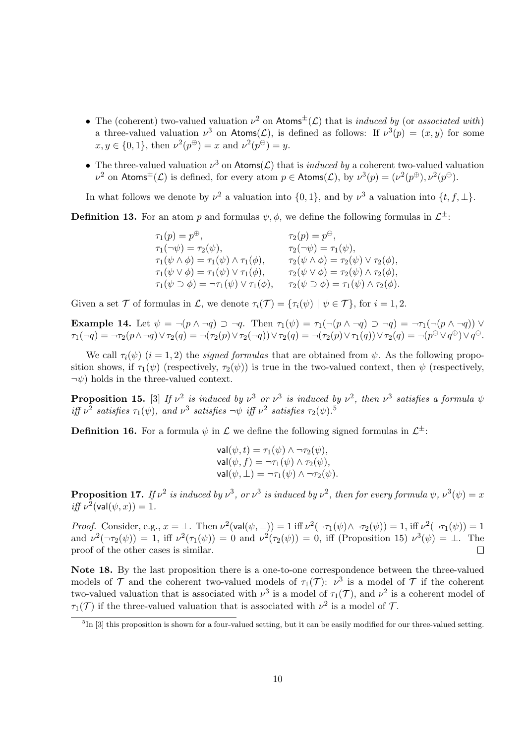- *•* The (coherent) two-valued valuation *ν* <sup>2</sup> on Atoms*±*(*L*) that is *induced by* (or *associated with*) a three-valued valuation  $\nu^3$  on Atoms(*L*), is defined as follows: If  $\nu^3(p) = (x, y)$  for some  $x, y \in \{0, 1\}$ , then  $\nu^2(p^{\oplus}) = x$  and  $\nu^2(p^{\ominus}) = y$ .
- *•* The three-valued valuation *ν* <sup>3</sup> on Atoms(*L*) that is *induced by* a coherent two-valued valuation  $\nu^2$  on  $\mathsf{Atoms}^\pm(\mathcal{L})$  is defined, for every atom  $p \in \mathsf{Atoms}(\mathcal{L}),$  by  $\nu^3(p) = (\nu^2(p^{\oplus}), \nu^2(p^{\ominus})).$

In what follows we denote by  $\nu^2$  a valuation into  $\{0,1\}$ , and by  $\nu^3$  a valuation into  $\{t, f, \perp\}$ .

**Definition 13.** For an atom *p* and formulas  $\psi, \phi$ , we define the following formulas in  $\mathcal{L}^{\pm}$ :

| $\tau_1(p) = p^{\oplus}$ ,                                         | $\tau_2(p)=p^\ominus,$                                          |
|--------------------------------------------------------------------|-----------------------------------------------------------------|
| $\tau_1(\neg \psi) = \tau_2(\psi),$                                | $\tau_2(\neg\psi) = \tau_1(\psi),$                              |
| $\tau_1(\psi \wedge \phi) = \tau_1(\psi) \wedge \tau_1(\phi),$     | $\tau_2(\psi \wedge \phi) = \tau_2(\psi) \vee \tau_2(\phi),$    |
| $\tau_1(\psi \vee \phi) = \tau_1(\psi) \vee \tau_1(\phi),$         | $\tau_2(\psi \vee \phi) = \tau_2(\psi) \wedge \tau_2(\phi),$    |
| $\tau_1(\psi \supset \phi) = \neg \tau_1(\psi) \vee \tau_1(\phi),$ | $\tau_2(\psi \supset \phi) = \tau_1(\psi) \wedge \tau_2(\phi).$ |

Given a set  $\mathcal T$  of formulas in  $\mathcal L$ , we denote  $\tau_i(\mathcal T) = {\tau_i(\psi) \mid \psi \in \mathcal T}$ , for  $i = 1, 2$ .

**Example 14.** Let  $\psi = \neg(p \land \neg q) \supset \neg q$ . Then  $\tau_1(\psi) = \tau_1(\neg(p \land \neg q) \supset \neg q) = \neg \tau_1(\neg(p \land \neg q)) \lor q$  $\tau_1(\neg q)=\neg\tau_2(p\wedge \neg q)\vee \tau_2(q)=\neg(\tau_2(p)\vee \tau_2(\neg q))\vee \tau_2(q)=\neg(\tau_2(p)\vee \tau_1(q))\vee \tau_2(q)=\neg(p^\ominus\vee q^\oplus)\vee q^\ominus.$ 

We call  $\tau_i(\psi)$  (*i* = 1, 2) the *signed formulas* that are obtained from  $\psi$ . As the following proposition shows, if  $\tau_1(\psi)$  (respectively,  $\tau_2(\psi)$ ) is true in the two-valued context, then  $\psi$  (respectively, *¬ψ*) holds in the three-valued context.

**Proposition 15.** [3] If  $v^2$  is induced by  $v^3$  or  $v^3$  is induced by  $v^2$ , then  $v^3$  satisfies a formula  $\psi$ *iff*  $\nu^2$  *satisfies*  $\tau_1(\psi)$ *, and*  $\nu^3$  *satisfies*  $\neg \psi$  *iff*  $\nu^2$  *satisfies*  $\tau_2(\psi)$ *.*<sup>5</sup>

**Definition 16.** For a formula  $\psi$  in  $\mathcal{L}$  we define the following signed formulas in  $\mathcal{L}^{\pm}$ :

$$
\mathsf{val}(\psi, t) = \tau_1(\psi) \land \neg \tau_2(\psi),
$$
  
\n
$$
\mathsf{val}(\psi, f) = \neg \tau_1(\psi) \land \tau_2(\psi),
$$
  
\n
$$
\mathsf{val}(\psi, \bot) = \neg \tau_1(\psi) \land \neg \tau_2(\psi).
$$

**Proposition 17.** If  $\nu^2$  is induced by  $\nu^3$ , or  $\nu^3$  is induced by  $\nu^2$ , then for every formula  $\psi$ ,  $\nu^3(\psi) = x$  $iff \nu^2(\text{val}(\psi, x)) = 1.$ 

*Proof.* Consider, e.g.,  $x = \bot$ . Then  $\nu^2(\text{val}(\psi, \bot)) = 1$  iff  $\nu^2(\neg \tau_1(\psi) \land \neg \tau_2(\psi)) = 1$ , iff  $\nu^2(\neg \tau_1(\psi)) = 1$ and  $\nu^2(\neg \tau_2(\psi)) = 1$ , iff  $\nu^2(\tau_1(\psi)) = 0$  and  $\nu^2(\tau_2(\psi)) = 0$ , iff (Proposition 15)  $\nu^3(\psi) = \bot$ . The proof of the other cases is similar.  $\Box$ 

**Note 18.** By the last proposition there is a one-to-one correspondence between the three-valued models of  $\mathcal T$  and the coherent two-valued models of  $\tau_1(\mathcal T)$ :  $\nu^3$  is a model of  $\mathcal T$  if the coherent two-valued valuation that is associated with  $\nu^3$  is a model of  $\tau_1(\mathcal{T})$ , and  $\nu^2$  is a coherent model of  $\tau_1(\mathcal{T})$  if the three-valued valuation that is associated with  $\nu^2$  is a model of  $\mathcal{T}$ .

<sup>&</sup>lt;sup>5</sup>In [3] this proposition is shown for a four-valued setting, but it can be easily modified for our three-valued setting.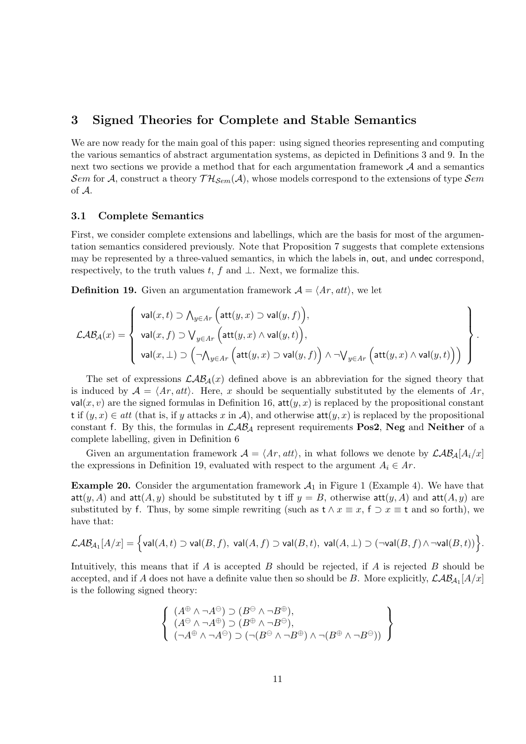### **3 Signed Theories for Complete and Stable Semantics**

We are now ready for the main goal of this paper: using signed theories representing and computing the various semantics of abstract argumentation systems, as depicted in Definitions 3 and 9. In the next two sections we provide a method that for each argumentation framework *A* and a semantics *Sem* for *A*, construct a theory  $TH_{Sem}(\mathcal{A})$ , whose models correspond to the extensions of type *Sem* of *A*.

#### **3.1 Complete Semantics**

First, we consider complete extensions and labellings, which are the basis for most of the argumentation semantics considered previously. Note that Proposition 7 suggests that complete extensions may be represented by a three-valued semantics, in which the labels in, out, and undec correspond, respectively, to the truth values *t*, *f* and *⊥*. Next, we formalize this.

**Definition 19.** Given an argumentation framework  $A = \langle Ar, att \rangle$ , we let

$$
\mathcal{LAB}_{\mathcal{A}}(x) = \left\{\begin{array}{l}\mathsf{val}(x,t) \supset \bigwedge_{y \in Ar} \Big(\mathsf{att}(y,x) \supset \mathsf{val}(y,f)\Big), \\ \mathsf{val}(x,f) \supset \bigvee_{y \in Ar} \Big(\mathsf{att}(y,x) \wedge \mathsf{val}(y,t)\Big), \\ \mathsf{val}(x,\bot) \supset \Big(\neg \bigwedge_{y \in Ar} \Big(\mathsf{att}(y,x) \supset \mathsf{val}(y,f)\Big) \wedge \neg \bigvee_{y \in Ar} \Big(\mathsf{att}(y,x) \wedge \mathsf{val}(y,t)\Big)\Big)\end{array}\right\}.
$$

The set of expressions  $\mathcal{LAB}_A(x)$  defined above is an abbreviation for the signed theory that is induced by  $A = \langle Ar, att \rangle$ . Here, *x* should be sequentially substituted by the elements of  $Ar$ ,  $val(x, v)$  are the signed formulas in Definition 16, att $(y, x)$  is replaced by the propositional constant t if  $(y, x) \in \text{att}$  (that is, if *y* attacks *x* in *A*), and otherwise att $(y, x)$  is replaced by the propositional constant f. By this, the formulas in *LAB<sup>A</sup>* represent requirements **Pos2**, **Neg** and **Neither** of a complete labelling, given in Definition 6

Given an argumentation framework  $A = \langle Ar, att \rangle$ , in what follows we denote by  $\mathcal{LAB}_A[A_i/x]$ the expressions in Definition 19, evaluated with respect to the argument  $A_i \in Ar$ .

**Example 20.** Consider the argumentation framework  $A_1$  in Figure 1 (Example 4). We have that att $(y, A)$  and att $(A, y)$  should be substituted by t iff  $y = B$ , otherwise att $(y, A)$  and att $(A, y)$  are substituted by f. Thus, by some simple rewriting (such as  $t \wedge x \equiv x$ ,  $f \supset x \equiv t$  and so forth), we have that:

$$
\mathcal{LAB}_{\mathcal{A}_1}[A/x] = \Big\{ \mathsf{val}(A,t) \supset \mathsf{val}(B,f),\; \mathsf{val}(A,f) \supset \mathsf{val}(B,t),\; \mathsf{val}(A,\bot) \supset (\neg \mathsf{val}(B,f) \wedge \neg \mathsf{val}(B,t)) \Big\}.
$$

Intuitively, this means that if *A* is accepted *B* should be rejected, if *A* is rejected *B* should be accepted, and if *A* does not have a definite value then so should be *B*. More explicitly,  $\mathcal{LAB}_{A_1}[A/x]$ is the following signed theory:

$$
\left\{\begin{array}{l} (A^{\oplus}\wedge\neg A^{\ominus})\supset(B^{\ominus}\wedge\neg B^{\oplus}),\\ (A^{\ominus}\wedge\neg A^{\oplus})\supset(B^{\oplus}\wedge\neg B^{\ominus}),\\ (\neg A^{\oplus}\wedge\neg A^{\ominus})\supset(\neg(B^{\ominus}\wedge\neg B^{\oplus})\wedge\neg(B^{\oplus}\wedge\neg B^{\ominus}))\end{array}\right\}
$$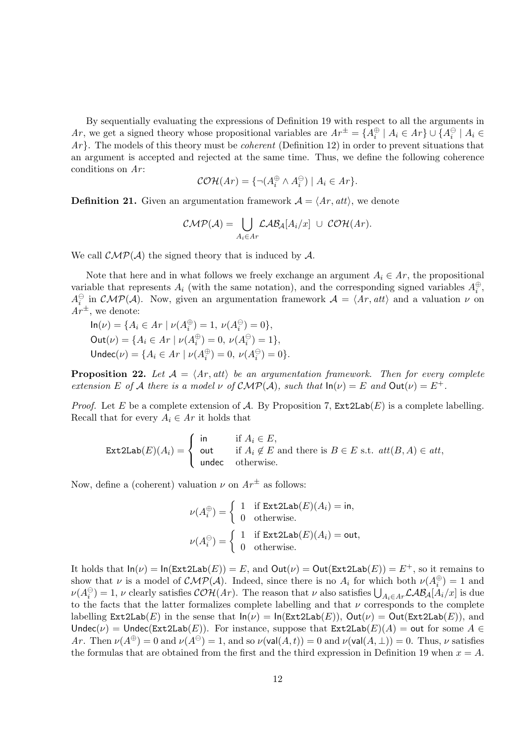By sequentially evaluating the expressions of Definition 19 with respect to all the arguments in Ar, we get a signed theory whose propositional variables are  $Ar^{\pm} = \{A_i^{\oplus} \mid A_i \in Ar\} \cup \{A_i^{\ominus} \mid A_i \in A_i\}$ *Ar}*. The models of this theory must be *coherent* (Definition 12) in order to prevent situations that an argument is accepted and rejected at the same time. Thus, we define the following coherence conditions on *Ar* :

$$
\mathcal{COH}(Ar) = \{ \neg (A_i^{\oplus} \land A_i^{\ominus}) \mid A_i \in Ar \}.
$$

**Definition 21.** Given an argumentation framework  $A = \langle Ar, att \rangle$ , we denote

$$
\mathcal{CMP}(\mathcal{A}) = \bigcup_{A_i \in \mathcal{A}r} \mathcal{LAB}_A[A_i/x] \ \cup \ \mathcal{COH}(\mathcal{A}r).
$$

We call  $\mathcal{CMP}(\mathcal{A})$  the signed theory that is induced by  $\mathcal{A}$ .

Note that here and in what follows we freely exchange an argument  $A_i \in Ar$ , the propositional variable that represents  $A_i$  (with the same notation), and the corresponding signed variables  $A_i^{\oplus}$ ,  $A_i^{\ominus}$  in  $\mathcal{CMP}(\mathcal{A})$ . Now, given an argumentation framework  $\mathcal{A} = \langle Ar, att \rangle$  and a valuation  $\nu$  on  $Ar^{\pm}$ , we denote:

 $\ln(\nu) = \{A_i \in Ar \mid \nu(A_i^{\oplus}) = 1, \nu(A_i^{\ominus}) = 0\},\$  $\text{Out}(\nu) = \{A_i \in Ar \mid \nu(A_i^{\oplus}) = 0, \nu(A_i^{\ominus}) = 1\},\$ Undec( $\nu$ ) = { $A_i \in Ar \mid \nu(A_i^{\oplus}) = 0, \ \nu(A_i^{\ominus}) = 0$ }.

**Proposition 22.** Let  $A = \langle Ar, att \rangle$  be an argumentation framework. Then for every complete *extension*  $E$  *of*  $A$  *there is a model*  $\nu$  *of*  $\mathcal{CMP}(A)$ *, such that*  $ln(\nu) = E$  *and*  $Out(\nu) = E^+$ *.* 

*Proof.* Let *E* be a complete extension of *A*. By Proposition 7,  $\text{Ext2Lab}(E)$  is a complete labelling. Recall that for every  $A_i \in Ar$  it holds that

$$
\text{Ext2Lab}(E)(A_i) = \begin{cases} \text{ in } & \text{if } A_i \in E, \\ \text{ out } & \text{if } A_i \notin E \text{ and there is } B \in E \text{ s.t. } att(B, A) \in att, \\ \text{ undec } & \text{otherwise.} \end{cases}
$$

Now, define a (coherent) valuation  $\nu$  on  $Ar^{\pm}$  as follows:

$$
\nu(A_i^{\oplus}) = \begin{cases} 1 & \text{if Ext2Lab}(E)(A_i) = \text{in,} \\ 0 & \text{otherwise.} \end{cases}
$$

$$
\nu(A_i^{\ominus}) = \begin{cases} 1 & \text{if Ext2Lab}(E)(A_i) = \text{out,} \\ 0 & \text{otherwise.} \end{cases}
$$

It holds that  $ln(\nu) = ln(Ext2Lab(E)) = E$ , and  $Out(\nu) = Out(Ext2Lab(E)) = E^+$ , so it remains to show that *ν* is a model of  $\mathcal{CMP}(\mathcal{A})$ . Indeed, since there is no  $A_i$  for which both  $\nu(A_i^{\oplus}) = 1$  and  $\nu(A_i^{\ominus}) = 1$ , *ν* clearly satisfies  $\mathcal{COH}(Ar)$ . The reason that *ν* also satisfies  $\bigcup_{A_i \in Ar} \mathcal{LAB}_A[A_i/x]$  is due to the facts that the latter formalizes complete labelling and that *ν* corresponds to the complete labelling  $\text{Ext2Lab}(E)$  in the sense that  $\text{In}(\nu) = \text{In}(\text{Ext2Lab}(E)), \text{Out}(\nu) = \text{Out}(\text{Ext2Lab}(E)),$  and Undec( $\nu$ ) = Undec(Ext2Lab(*E*)). For instance, suppose that Ext2Lab( $E$ )( $A$ ) = out for some  $A \in$ *Ar*. Then  $\nu(A^{\oplus}) = 0$  and  $\nu(A^{\ominus}) = 1$ , and so  $\nu(\text{val}(A, t)) = 0$  and  $\nu(\text{val}(A, \perp)) = 0$ . Thus,  $\nu$  satisfies the formulas that are obtained from the first and the third expression in Definition 19 when  $x = A$ .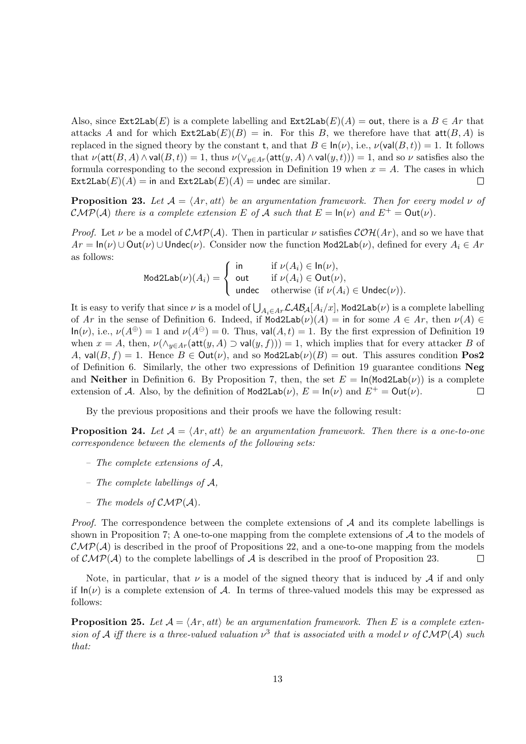Also, since  $\text{Ext2Lab}(E)$  is a complete labelling and  $\text{Ext2Lab}(E)(A) = \text{out}$ , there is a  $B \in Ar$  that attacks *A* and for which  $\text{Ext2Lab}(E)(B) = \text{in}$ . For this *B*, we therefore have that  $\text{att}(B, A)$  is replaced in the signed theory by the constant **t**, and that  $B \in \ln(\nu)$ , i.e.,  $\nu(\text{val}(B, t)) = 1$ . It follows that  $\nu(\text{att}(B, A) \wedge \text{val}(B, t)) = 1$ , thus  $\nu(\vee_{y \in Ar}(\text{att}(y, A) \wedge \text{val}(y, t))) = 1$ , and so  $\nu$  satisfies also the formula corresponding to the second expression in Definition 19 when  $x = A$ . The cases in which  $\text{Ext2Lab}(E)(A) = \text{in and } \text{Ext2Lab}(E)(A) = \text{undec are similar.}$  $\Box$ 

**Proposition 23.** *Let*  $A = \langle Ar, att \rangle$  *be an argumentation framework. Then for every model*  $\nu$  *of CMP*(*A*) *there is a complete extension E of A such that*  $E = \ln(\nu)$  *and*  $E^+ = \text{Out}(\nu)$ *.* 

*Proof.* Let *ν* be a model of  $\mathcal{CMP}(\mathcal{A})$ . Then in particular *ν* satisfies  $\mathcal{COH}(Ar)$ , and so we have that  $Ar = \ln(\nu) \cup Out(\nu) \cup Undec(\nu)$ . Consider now the function Mod2Lab(*v*), defined for every  $A_i \in Ar$ as follows:

 $\mathtt{Mod2Lab}(\nu)(A_i)=$  $\sqrt{ }$  $\frac{1}{2}$  $\mathbf{I}$ in if  $\nu(A_i) \in \text{In}(\nu)$ , out if  $\nu(A_i) \in \text{Out}(\nu)$ , undec otherwise (if  $\nu(A_i) \in$  Undec( $\nu$ )).

It is easy to verify that since  $\nu$  is a model of  $\bigcup_{A_i \in Ar} \mathcal{LAB}_A[A_i/x]$ , Mod2Lab $(\nu)$  is a complete labelling of *Ar* in the sense of Definition 6. Indeed, if  $Mod2Lab(\nu)(A) =$  in for some  $A \in Ar$ , then  $\nu(A) \in$  $\ln(\nu)$ , i.e.,  $\nu(A^{\oplus}) = 1$  and  $\nu(A^{\ominus}) = 0$ . Thus,  $\text{val}(A, t) = 1$ . By the first expression of Definition 19 when  $x = A$ , then,  $\nu(\wedge_{y \in A_r}(\text{att}(y, A) \supset \text{val}(y, f))) = 1$ , which implies that for every attacker *B* of *A*,  $\text{val}(B, f) = 1$ . Hence  $B \in \text{Out}(\nu)$ , and so Mod2Lab $(\nu)(B) = \text{out}$ . This assures condition **Pos2** of Definition 6. Similarly, the other two expressions of Definition 19 guarantee conditions **Neg** and **Neither** in Definition 6. By Proposition 7, then, the set  $E = \ln(\text{Mod2Lab}(\nu))$  is a complete extension of *A*. Also, by the definition of  $Mod2Lab(\nu)$ ,  $E = In(\nu)$  and  $E^+ = Out(\nu)$ .  $\Box$ 

By the previous propositions and their proofs we have the following result:

**Proposition 24.** Let  $A = \langle Ar, att \rangle$  be an argumentation framework. Then there is a one-to-one *correspondence between the elements of the following sets:*

- *– The complete extensions of A,*
- *– The complete labellings of A,*
- *– The models of CMP*(*A*)*.*

*Proof.* The correspondence between the complete extensions of *A* and its complete labellings is shown in Proposition 7; A one-to-one mapping from the complete extensions of *A* to the models of  $\mathcal{CMP}(\mathcal{A})$  is described in the proof of Propositions 22, and a one-to-one mapping from the models of  $\mathcal{CMP}(\mathcal{A})$  to the complete labellings of  $\mathcal{A}$  is described in the proof of Proposition 23.  $\Box$ 

Note, in particular, that  $\nu$  is a model of the signed theory that is induced by  $\mathcal A$  if and only if  $\ln(\nu)$  is a complete extension of *A*. In terms of three-valued models this may be expressed as follows:

**Proposition 25.** Let  $A = \langle Ar, att \rangle$  be an argumentation framework. Then E is a complete exten*sion of A iff there is a three-valued valuation*  $\nu^3$  *that is associated with a model*  $\nu$  *of*  $\mathcal{CMP}(\mathcal{A})$  *such that:*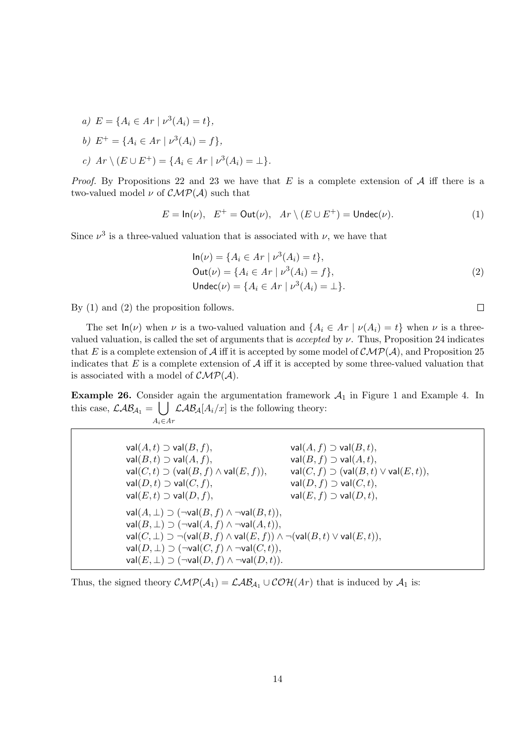- *a)*  $E = \{A_i \in Ar \mid \nu^3(A_i) = t\},\$
- *b*)  $E^+ = \{A_i \in Ar \mid \nu^3(A_i) = f\},\$
- $c)$   $Ar \setminus (E \cup E^+) = \{A_i \in Ar \mid \nu^3(A_i) = \bot\}.$

*Proof.* By Propositions 22 and 23 we have that *E* is a complete extension of *A* iff there is a two-valued model  $\nu$  of  $\mathcal{CMP}(\mathcal{A})$  such that

$$
E = \ln(\nu), \quad E^+ = \text{Out}(\nu), \quad Ar \setminus (E \cup E^+) = \text{Under}(\nu). \tag{1}
$$

Since  $\nu^3$  is a three-valued valuation that is associated with  $\nu$ , we have that

$$
\ln(\nu) = \{ A_i \in Ar \mid \nu^3(A_i) = t \},\
$$
  
Out( $\nu$ ) =  $\{ A_i \in Ar \mid \nu^3(A_i) = f \},\$   
Under( $\nu$ ) =  $\{ A_i \in Ar \mid \nu^3(A_i) = \bot \}.$  (2)

 $\Box$ 

By (1) and (2) the proposition follows.

The set  $\ln(\nu)$  when  $\nu$  is a two-valued valuation and  $\{A_i \in Ar \mid \nu(A_i) = t\}$  when  $\nu$  is a threevalued valuation, is called the set of arguments that is *accepted* by *ν*. Thus, Proposition 24 indicates that *E* is a complete extension of *A* iff it is accepted by some model of  $\mathcal{CMP}(\mathcal{A})$ , and Proposition 25 indicates that  $E$  is a complete extension of  $A$  iff it is accepted by some three-valued valuation that is associated with a model of *CMP*(*A*).

**Example 26.** Consider again the argumentation framework  $A_1$  in Figure 1 and Example 4. In this case,  $\mathcal{LAB}_{\mathcal{A}_1} = \bigcup \mathcal{LAB}_{\mathcal{A}}[A_i/x]$  is the following theory: *Ai∈Ar*

> $val(A, t) \supset val(B, f),$  val $(A, f) \supset val(B, t),$  $val(B, t) \supset val(A, f),$  val $(B, f) \supset val(A, t),$  $\mathsf{val}(C, t) \supset (\mathsf{val}(B, f) \land \mathsf{val}(E, f)),$  val $(C, f) \supset (\mathsf{val}(B, t) \lor \mathsf{val}(E, t)),$  $val(D, t) \supset val(C, f),$  val $(D, f) \supset val(D, f),$  $val(E, t) \supset \text{val}(D, f),$  val $(E, f) \supset \text{val}(D, t),$  $val(A, ⊥) ⊇ (¬val(B, f) ∧ ¬val(B, t)),$  $\mathsf{val}(B, \perp)$   $\supset$   $(\neg \mathsf{val}(A, f) \land \neg \mathsf{val}(A, t)),$  $\mathsf{val}(C, \bot)$   $\supset \neg(\mathsf{val}(B, f) \land \mathsf{val}(E, f)) \land \neg(\mathsf{val}(B, t) \lor \mathsf{val}(E, t)),$  $val(D, ⊥) ⊃ (¬val(C, f) ∧ ¬val(C, t)),$  $val(E, ⊥) ⊃ (¬val(D, f) ∧ ¬val(D, t))$

Thus, the signed theory  $\mathcal{CMP}(\mathcal{A}_1) = \mathcal{LAB}_{\mathcal{A}_1} \cup \mathcal{COH}(Ar)$  that is induced by  $\mathcal{A}_1$  is: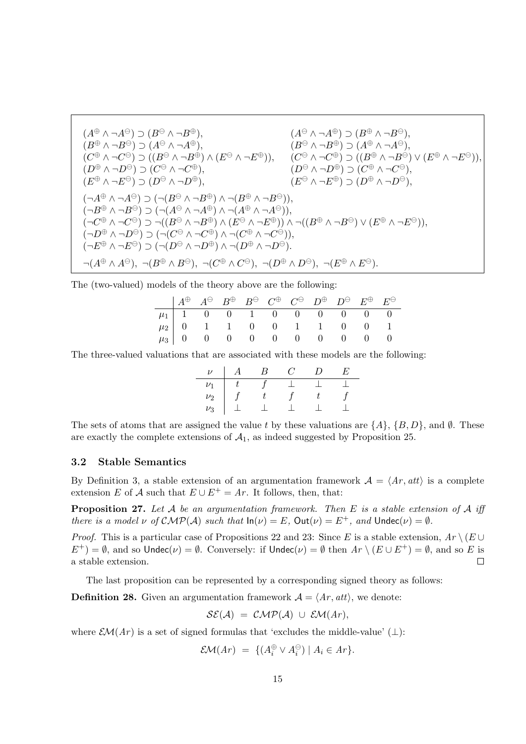$$
(A^{\oplus} \wedge \neg A^{\ominus}) \supset (B^{\ominus} \wedge \neg B^{\oplus}), \qquad (A^{\ominus} \wedge \neg A^{\oplus}) \supset (B^{\oplus} \wedge \neg B^{\ominus}),
$$
  
\n
$$
(B^{\oplus} \wedge \neg B^{\ominus}) \supset (A^{\ominus} \wedge \neg A^{\oplus}), \qquad (B^{\ominus} \wedge \neg B^{\oplus}) \supset (A^{\oplus} \wedge \neg B^{\ominus}),
$$
  
\n
$$
(C^{\oplus} \wedge \neg C^{\ominus}) \supset ((B^{\ominus} \wedge \neg B^{\oplus}) \wedge (E^{\ominus} \wedge \neg E^{\oplus})), \qquad (C^{\ominus} \wedge \neg C^{\oplus}) \supset ((B^{\oplus} \wedge \neg B^{\ominus}) \vee (E^{\oplus} \wedge \neg E^{\ominus})),
$$
  
\n
$$
(D^{\oplus} \wedge \neg B^{\ominus}) \supset (C^{\ominus} \wedge \neg C^{\oplus}), \qquad (D^{\ominus} \wedge \neg D^{\oplus}) \supset (C^{\oplus} \wedge \neg C^{\ominus}),
$$
  
\n
$$
(\neg A^{\oplus} \wedge \neg B^{\ominus}) \supset (\neg (B^{\ominus} \wedge \neg B^{\oplus}) \wedge \neg (B^{\oplus} \wedge \neg B^{\ominus})),
$$
  
\n
$$
(\neg B^{\oplus} \wedge \neg B^{\ominus}) \supset (\neg (A^{\ominus} \wedge \neg B^{\oplus}) \wedge \neg (A^{\oplus} \wedge \neg B^{\ominus})),
$$
  
\n
$$
(\neg C^{\oplus} \wedge \neg C^{\ominus}) \supset (\neg (B^{\ominus} \wedge \neg B^{\oplus}) \wedge (E^{\ominus} \wedge \neg E^{\oplus})) \wedge \neg ((B^{\oplus} \wedge \neg B^{\ominus}) \vee (E^{\oplus} \wedge \neg E^{\ominus})),
$$
  
\n
$$
(\neg D^{\oplus} \wedge \neg D^{\ominus}) \supset (\neg (C^{\ominus} \wedge \neg C^{\oplus}) \wedge \neg (C^{\oplus} \wedge \neg C^{\ominus})),
$$
  
\

The (two-valued) models of the theory above are the following:

|  |  |  |  | $\parallel A^{\oplus} \parallel A^{\ominus} \parallel B^{\oplus} \parallel B^{\ominus} \parallel C^{\oplus} \parallel C^{\ominus} \parallel D^{\oplus} \parallel D^{\ominus} \parallel E^{\oplus} \parallel E^{\ominus}$ |  |
|--|--|--|--|--------------------------------------------------------------------------------------------------------------------------------------------------------------------------------------------------------------------------|--|
|  |  |  |  |                                                                                                                                                                                                                          |  |
|  |  |  |  |                                                                                                                                                                                                                          |  |
|  |  |  |  | $\begin{array}{c cccccccccccc} \mu_1 & 1 & 0 & 0 & 1 & 0 & 0 & 0 & 0 & 0 & 0 \\ \mu_2 & 0 & 1 & 1 & 0 & 0 & 1 & 1 & 0 & 0 & 1 \\ \mu_3 & 0 & 0 & 0 & 0 & 0 & 0 & 0 & 0 & 0 & 0 \\ \end{array}$                           |  |

The three-valued valuations that are associated with these models are the following:

| $\overline{ }$ |  |  | н, |
|----------------|--|--|----|
|                |  |  |    |
| $\nu_2$        |  |  |    |
| $\nu_3$        |  |  |    |

The sets of atoms that are assigned the value *t* by these valuations are  $\{A\}$ ,  $\{B, D\}$ , and  $\emptyset$ . These are exactly the complete extensions of  $A_1$ , as indeed suggested by Proposition 25.

#### **3.2 Stable Semantics**

By Definition 3, a stable extension of an argumentation framework  $A = \langle Ar, att \rangle$  is a complete extension *E* of *A* such that  $E \cup E^+ = Ar$ . It follows, then, that:

**Proposition 27.** *Let A be an argumentation framework. Then E is a stable extension of A iff there is a model*  $\nu$  *of*  $\mathcal{CMP}(\mathcal{A})$  *such that*  $\ln(\nu) = E$ ,  $\text{Out}(\nu) = E^+$ *, and*  $\text{Under}(\nu) = \emptyset$ *.* 

*Proof.* This is a particular case of Propositions 22 and 23: Since *E* is a stable extension,  $Ar \setminus (E \cup$  $E^+$ ) =  $\emptyset$ , and so Undec(*v*) =  $\emptyset$ . Conversely: if Undec(*v*) =  $\emptyset$  then  $Ar \setminus (E \cup E^+) = \emptyset$ , and so *E* is a stable extension.  $\Box$ 

The last proposition can be represented by a corresponding signed theory as follows:

**Definition 28.** Given an argumentation framework  $A = \langle Ar, att \rangle$ , we denote:

$$
\mathcal{SE}(\mathcal{A})~=~\mathcal{CMP}(\mathcal{A})~\cup~\mathcal{EM}(Ar),
$$

where  $\mathcal{EM}(Ar)$  is a set of signed formulas that 'excludes the middle-value' ( $\perp$ ):

$$
\mathcal{EM}(Ar) = \{ (A_i^{\oplus} \vee A_i^{\ominus}) \mid A_i \in Ar \}.
$$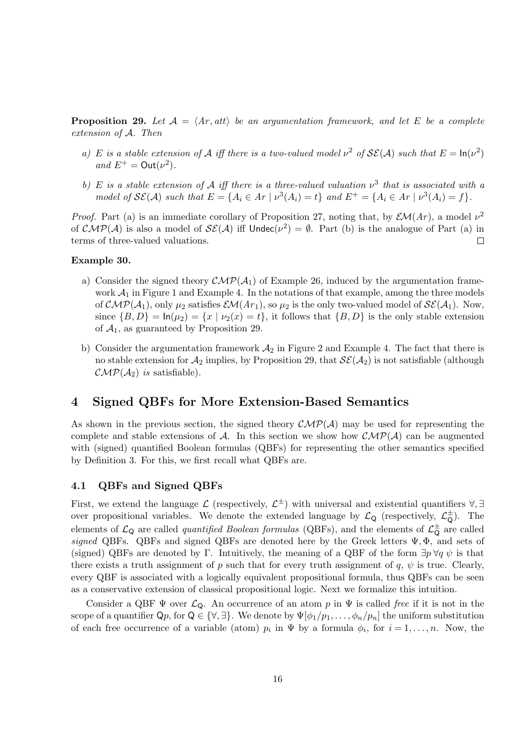**Proposition 29.** Let  $A = \langle Ar, att \rangle$  be an argumentation framework, and let E be a complete *extension of A. Then*

- *a*) *E is a stable extension of A iff there is a two-valued model*  $\nu^2$  *of*  $\mathcal{SE}(A)$  *such that*  $E = \ln(\nu^2)$ *and*  $E^+ = \text{Out}(\nu^2)$ *.*
- *b*) *E is a stable extension of A iff there is a three-valued valuation*  $\nu^3$  *that is associated with a* model of  $\mathcal{SE}(\mathcal{A})$  such that  $E = \{A_i \in Ar \mid \nu^3(A_i) = t\}$  and  $E^+ = \{A_i \in Ar \mid \nu^3(A_i) = f\}.$

*Proof.* Part (a) is an immediate corollary of Proposition 27, noting that, by  $\mathcal{EM}(Ar)$ , a model  $\nu^2$ of  $\mathcal{CMP}(\mathcal{A})$  is also a model of  $\mathcal{S}\mathcal{E}(\mathcal{A})$  iff  $\mathsf{Under}(\nu^2) = \emptyset$ . Part (b) is the analogue of Part (a) in terms of three-valued valuations.  $\Box$ 

#### **Example 30.**

- a) Consider the signed theory  $\mathcal{CMP}(\mathcal{A}_1)$  of Example 26, induced by the argumentation framework  $A_1$  in Figure 1 and Example 4. In the notations of that example, among the three models of  $\mathcal{CMP}(\mathcal{A}_1)$ , only  $\mu_2$  satisfies  $\mathcal{EM}(Ar_1)$ , so  $\mu_2$  is the only two-valued model of  $\mathcal{S}\mathcal{E}(\mathcal{A}_1)$ . Now, since  ${B, D}$  =  $\ln(\mu_2) = {x \mid \nu_2(x) = t}$ , it follows that  ${B, D}$  is the only stable extension of  $A_1$ , as guaranteed by Proposition 29.
- b) Consider the argumentation framework  $A_2$  in Figure 2 and Example 4. The fact that there is no stable extension for  $A_2$  implies, by Proposition 29, that  $\mathcal{SE}(A_2)$  is not satisfiable (although  $\mathcal{CMP}(\mathcal{A}_2)$  *is* satisfiable).

### **4 Signed QBFs for More Extension-Based Semantics**

As shown in the previous section, the signed theory  $\mathcal{CMP}(\mathcal{A})$  may be used for representing the complete and stable extensions of *A*. In this section we show how  $\mathcal{CMP}(\mathcal{A})$  can be augmented with (signed) quantified Boolean formulas (QBFs) for representing the other semantics specified by Definition 3. For this, we first recall what QBFs are.

#### **4.1 QBFs and Signed QBFs**

First, we extend the language  $\mathcal{L}$  (respectively,  $\mathcal{L}^{\pm}$ ) with universal and existential quantifiers  $\forall$ ,  $\exists$ over propositional variables. We denote the extended language by  $\mathcal{L}_{Q}$  (respectively,  $\mathcal{L}_{Q}^{\pm}$ ). The elements of  $\mathcal{L}_{Q}$  are called *quantified Boolean formulas* (QBFs), and the elements of  $\mathcal{L}_{Q}^{\pm}$  are called *signed* QBFs. QBFs and signed QBFs are denoted here by the Greek letters Ψ*,* Φ, and sets of (signed) QBFs are denoted by Γ. Intuitively, the meaning of a QBF of the form  $\exists p \forall q \psi$  is that there exists a truth assignment of *p* such that for every truth assignment of *q*,  $\psi$  is true. Clearly, every QBF is associated with a logically equivalent propositional formula, thus QBFs can be seen as a conservative extension of classical propositional logic. Next we formalize this intuition.

Consider a QBF  $\Psi$  over  $\mathcal{L}_{\mathsf{Q}}$ . An occurrence of an atom p in  $\Psi$  is called *free* if it is not in the scope of a quantifier  $Q_p$ , for  $Q \in \{\forall, \exists\}$ . We denote by  $\Psi[\phi_1/p_1, \ldots, \phi_n/p_n]$  the uniform substitution of each free occurrence of a variable (atom)  $p_i$  in  $\Psi$  by a formula  $\phi_i$ , for  $i = 1, \ldots, n$ . Now, the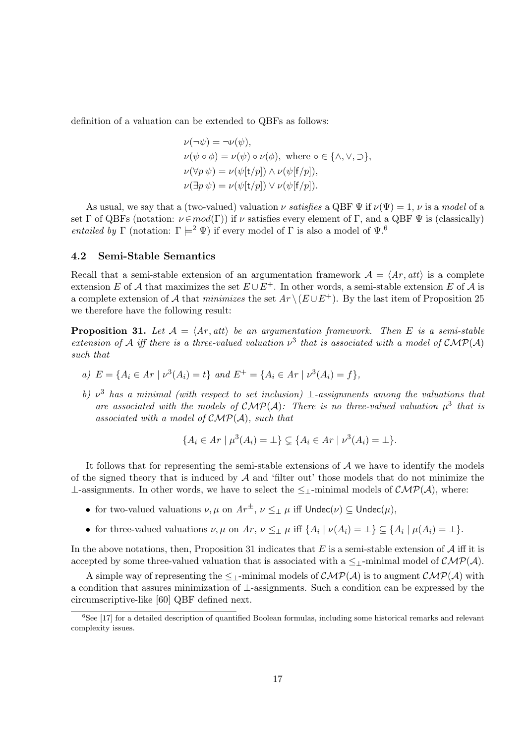definition of a valuation can be extended to QBFs as follows:

$$
\nu(\neg\psi) = \neg\nu(\psi),
$$
  
\n
$$
\nu(\psi \circ \phi) = \nu(\psi) \circ \nu(\phi), \text{ where } \circ \in \{\land, \lor, \supset\},
$$
  
\n
$$
\nu(\forall p \psi) = \nu(\psi[t/p]) \land \nu(\psi[f/p]),
$$
  
\n
$$
\nu(\exists p \psi) = \nu(\psi[t/p]) \lor \nu(\psi[f/p]).
$$

As usual, we say that a (two-valued) valuation  $\nu$  *satisfies* a QBF  $\Psi$  if  $\nu(\Psi) = 1$ ,  $\nu$  is a *model* of a set  $\Gamma$  of QBFs (notation:  $\nu \in mod(\Gamma)$ ) if  $\nu$  satisfies every element of  $\Gamma$ , and a QBF  $\Psi$  is (classically) *entailed by* Γ (notation:  $\Gamma \models^2 \Psi$ ) if every model of Γ is also a model of  $\Psi$ .<sup>6</sup>

#### **4.2 Semi-Stable Semantics**

Recall that a semi-stable extension of an argumentation framework  $A = \langle Ar, att \rangle$  is a complete extension *E* of *A* that maximizes the set  $E \cup E^+$ . In other words, a semi-stable extension *E* of *A* is a complete extension of *A* that *minimizes* the set  $Ar \setminus (E \cup E^+)$ . By the last item of Proposition 25 we therefore have the following result:

**Proposition 31.** Let  $A = \langle Ar, att \rangle$  be an argumentation framework. Then E is a semi-stable *extension of A iff there is a three-valued valuation*  $\nu^3$  *that is associated with a model of*  $\mathcal{CMP}(A)$ *such that*

- a)  $E = \{A_i \in Ar \mid \nu^3(A_i) = t\}$  and  $E^+ = \{A_i \in Ar \mid \nu^3(A_i) = f\},\$
- *b) ν* <sup>3</sup> *has a minimal (with respect to set inclusion) ⊥-assignments among the valuations that* are associated with the models of  $\mathcal{CMP}(\mathcal{A})$ : There is no three-valued valuation  $\mu^3$  that is *associated with a model of CMP*(*A*)*, such that*

$$
\{A_i \in Ar \mid \mu^3(A_i) = \bot\} \subsetneq \{A_i \in Ar \mid \nu^3(A_i) = \bot\}.
$$

It follows that for representing the semi-stable extensions of *A* we have to identify the models of the signed theory that is induced by  $A$  and 'filter out' those models that do not minimize the *⊥*-assignments. In other words, we have to select the *≤⊥*-minimal models of *CMP*(*A*), where:

- for two-valued valuations  $\nu, \mu$  on  $Ar^{\pm}$ ,  $\nu \leq_{\perp} \mu$  iff  $\text{Under}(\nu) \subseteq \text{Under}(\mu)$ ,
- for three-valued valuations  $\nu, \mu$  on  $Ar, \nu \leq_{\perp} \mu$  iff  $\{A_i | \nu(A_i) = \perp\} \subseteq \{A_i | \mu(A_i) = \perp\}.$

In the above notations, then, Proposition 31 indicates that  $E$  is a semi-stable extension of  $A$  iff it is accepted by some three-valued valuation that is associated with a  $\leq$ <sub>⊥</sub>-minimal model of  $\mathcal{CMP}(\mathcal{A})$ .

A simple way of representing the  $\leq$ <sub>1</sub>-minimal models of  $\mathcal{CMP}(\mathcal{A})$  is to augment  $\mathcal{CMP}(\mathcal{A})$  with a condition that assures minimization of *⊥*-assignments. Such a condition can be expressed by the circumscriptive-like [60] QBF defined next.

 ${}^{6}$ See [17] for a detailed description of quantified Boolean formulas, including some historical remarks and relevant complexity issues.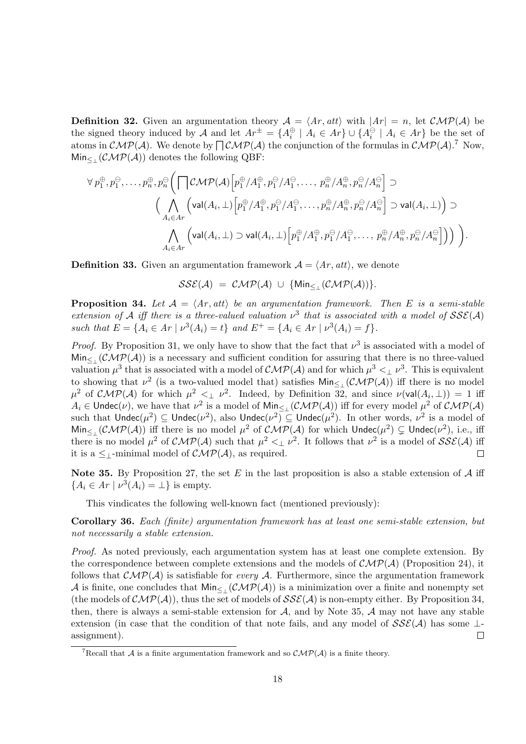**Definition 32.** Given an argumentation theory  $A = \langle Ar, att \rangle$  with  $|Ar| = n$ , let  $\mathcal{CMP}(A)$  be the signed theory induced by A and let  $Ar^{\pm} = \{A_i^{\oplus} \mid A_i \in Ar\} \cup \{A_i^{\ominus} \mid A_i \in Ar\}$  be the set of atoms in  $\mathcal{CMP}(\mathcal{A})$ . We denote by  $\bigcap \mathcal{CMP}(\mathcal{A})$  the conjunction of the formulas in  $\mathcal{CMP}(\mathcal{A})$ .<sup>7</sup> Now, Min*≤<sup>⊥</sup>* (*CMP*(*A*)) denotes the following QBF:

$$
\forall p_1^{\oplus}, p_1^{\ominus}, \dots, p_n^{\oplus}, p_n^{\ominus} \Big( \bigcap \mathcal{CMP}(\mathcal{A}) \Big[ p_1^{\oplus} / A_1^{\oplus}, p_1^{\ominus} / A_1^{\ominus}, \dots, p_n^{\oplus} / A_n^{\oplus}, p_n^{\ominus} / A_n^{\ominus} \Big] \supset
$$
  

$$
\Big( \bigwedge_{A_i \in A r} \Big( \text{val}(A_i, \bot) \Big[ p_1^{\oplus} / A_1^{\oplus}, p_1^{\ominus} / A_1^{\ominus}, \dots, p_n^{\oplus} / A_n^{\oplus}, p_n^{\ominus} / A_n^{\ominus} \Big] \supset \text{val}(A_i, \bot) \Big) \supset
$$
  

$$
\bigwedge_{A_i \in A r} \Big( \text{val}(A_i, \bot) \supset \text{val}(A_i, \bot) \Big[ p_1^{\oplus} / A_1^{\oplus}, p_1^{\ominus} / A_1^{\ominus}, \dots, p_n^{\oplus} / A_n^{\oplus}, p_n^{\ominus} / A_n^{\ominus} \Big] \Big) \Big).
$$

**Definition 33.** Given an argumentation framework  $A = \langle Ar, att \rangle$ , we denote

$$
SSE(\mathcal{A}) = \mathcal{CMP}(\mathcal{A}) \cup \{ \text{Min}_{\leq \perp}(\mathcal{CMP}(\mathcal{A})) \}.
$$

**Proposition 34.** *Let*  $A = \langle Ar, att \rangle$  *be an argumentation framework. Then E is a semi-stable extension of A iff there is a three-valued valuation*  $\nu^3$  *that is associated with a model of*  $SSE(A)$ such that  $E = \{A_i \in Ar \mid \nu^3(A_i) = t\}$  and  $E^+ = \{A_i \in Ar \mid \nu^3(A_i) = f\}.$ 

*Proof.* By Proposition 31, we only have to show that the fact that  $\nu^3$  is associated with a model of  $\text{Min}_{\leq \perp}(\mathcal{CMP}(\mathcal{A}))$  is a necessary and sufficient condition for assuring that there is no three-valued valuation  $\mu^3$  that is associated with a model of  $\mathcal{CMP}(\mathcal{A})$  and for which  $\mu^3 < \mu^3$ . This is equivalent to showing that  $\nu^2$  (is a two-valued model that) satisfies  $\text{Min}_{\leq \perp}(\mathcal{CMP}(\mathcal{A}))$  iff there is no model  $\mu^2$  of *CMP*(*A*) for which  $\mu^2 \leq \mu^2$ . Indeed, by Definition 32, and since  $\nu(\text{val}(A_i, \perp)) = 1$  iff  $A_i \in \textsf{Under}(\nu)$ , we have that  $\nu^2$  is a model of  $\textsf{Min}_{\leq \perp}(\mathcal{CMP}(\mathcal{A}))$  iff for every model  $\mu^2$  of  $\mathcal{CMP}(\mathcal{A})$  $\text{such that } \mathsf{Undec}(\mu^2) \subseteq \mathsf{Undec}(\nu^2), \text{ also } \mathsf{Undec}(\nu^2) \subseteq \mathsf{Undec}(\mu^2). \text{ In other words, } \nu^2 \text{ is a model of } \mathsf{Undec}(\mu^2) \subseteq \mathsf{Undec}(\mu^2).$  $\text{Min}_{\leq \perp}(\mathcal{CMP}(\mathcal{A}))$  iff there is no model  $\mu^2$  of  $\mathcal{CMP}(\mathcal{A})$  for which  $\text{Under}(\mu^2) \subsetneq \text{Under}(\nu^2)$ , i.e., iff there is no model  $\mu^2$  of  $\mathcal{CMP}(\mathcal{A})$  such that  $\mu^2 <_{\perp} \nu^2$ . It follows that  $\nu^2$  is a model of  $\mathcal{SSE}(\mathcal{A})$  iff it is a  $\leq_{\perp}$ -minimal model of  $\mathcal{CMP}(\mathcal{A})$ , as required.  $\Box$ 

**Note 35.** By Proposition 27, the set *E* in the last proposition is also a stable extension of *A* iff  ${A_i \in Ar \mid \nu^3(A_i) = \bot}$  is empty.

This vindicates the following well-known fact (mentioned previously):

**Corollary 36.** *Each (finite) argumentation framework has at least one semi-stable extension, but not necessarily a stable extension.*

*Proof.* As noted previously, each argumentation system has at least one complete extension. By the correspondence between complete extensions and the models of  $\mathcal{CMP}(\mathcal{A})$  (Proposition 24), it follows that  $\mathcal{CMP}(\mathcal{A})$  is satisfiable for *every*  $\mathcal{A}$ . Furthermore, since the argumentation framework A is finite, one concludes that  $\text{Min}_{\leq}(\mathcal{CMP}(\mathcal{A}))$  is a minimization over a finite and nonempty set (the models of  $\mathcal{CMP}(\mathcal{A})$ ), thus the set of models of  $\mathcal{SSE}(\mathcal{A})$  is non-empty either. By Proposition 34, then, there is always a semi-stable extension for *A*, and by Note 35, *A* may not have any stable extension (in case that the condition of that note fails, and any model of *SSE*(*A*) has some *⊥* assignment).  $\Box$ 

<sup>&</sup>lt;sup>7</sup>Recall that *A* is a finite argumentation framework and so  $\mathcal{CMP}(A)$  is a finite theory.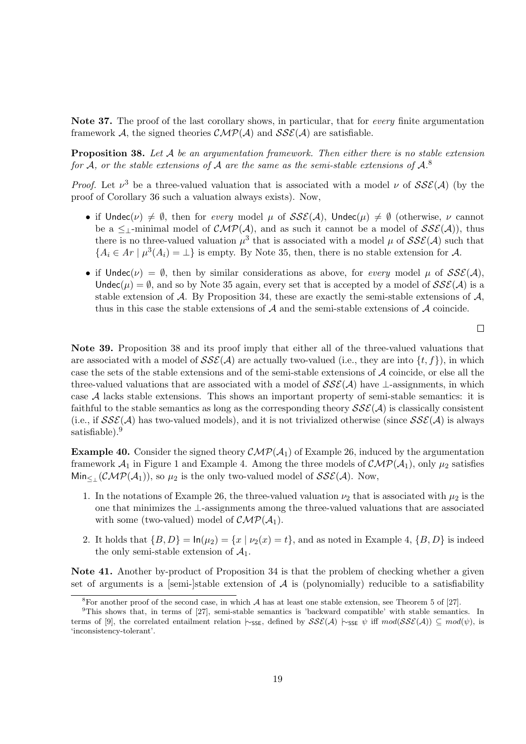**Note 37.** The proof of the last corollary shows, in particular, that for *every* finite argumentation framework *A*, the signed theories  $\mathcal{CMP}(\mathcal{A})$  and  $\mathcal{SSE}(\mathcal{A})$  are satisfiable.

**Proposition 38.** *Let A be an argumentation framework. Then either there is no stable extension for A, or the stable extensions of A are the same as the semi-stable extensions of A.* 8

*Proof.* Let  $\nu^3$  be a three-valued valuation that is associated with a model  $\nu$  of  $SSE(\mathcal{A})$  (by the proof of Corollary 36 such a valuation always exists). Now,

- if  $\text{Under}(\nu) \neq \emptyset$ , then for *every* model  $\mu$  of  $SSE(\mathcal{A})$ ,  $\text{Under}(\mu) \neq \emptyset$  (otherwise,  $\nu$  cannot be a  $\leq$ <sub>1</sub>-minimal model of  $\mathcal{CMP}(\mathcal{A})$ , and as such it cannot be a model of  $\mathcal{SSE}(\mathcal{A})$ ), thus there is no three-valued valuation  $\mu^3$  that is associated with a model  $\mu$  of  $SSE(\mathcal{A})$  such that  ${A_i \in Ar \mid \mu^3(A_i) = \bot}$  is empty. By Note 35, then, there is no stable extension for *A*.
- if Undec( $\nu$ ) =  $\emptyset$ , then by similar considerations as above, for *every* model  $\mu$  of  $SS\mathcal{E}(\mathcal{A})$ , Undec( $\mu$ ) =  $\emptyset$ , and so by Note 35 again, every set that is accepted by a model of  $SSE(A)$  is a stable extension of *A*. By Proposition 34, these are exactly the semi-stable extensions of *A*, thus in this case the stable extensions of *A* and the semi-stable extensions of *A* coincide.

 $\Box$ 

**Note 39.** Proposition 38 and its proof imply that either all of the three-valued valuations that are associated with a model of  $SSE(\mathcal{A})$  are actually two-valued (i.e., they are into  $\{t, f\}$ ), in which case the sets of the stable extensions and of the semi-stable extensions of *A* coincide, or else all the three-valued valuations that are associated with a model of *SSE*(*A*) have *⊥*-assignments, in which case *A* lacks stable extensions. This shows an important property of semi-stable semantics: it is faithful to the stable semantics as long as the corresponding theory  $\mathcal{SSE}(\mathcal{A})$  is classically consistent (i.e., if  $SSE(\mathcal{A})$  has two-valued models), and it is not trivialized otherwise (since  $SSE(\mathcal{A})$  is always satisfiable).<sup>9</sup>

**Example 40.** Consider the signed theory  $\mathcal{CMP}(\mathcal{A}_1)$  of Example 26, induced by the argumentation framework  $A_1$  in Figure 1 and Example 4. Among the three models of  $\mathcal{CMP}(A_1)$ , only  $\mu_2$  satisfies  $Min_{\leq_{\perp}}(\mathcal{CMP}(\mathcal{A}_1)),$  so  $\mu_2$  is the only two-valued model of  $\mathcal{SSE}(\mathcal{A})$ . Now,

- 1. In the notations of Example 26, the three-valued valuation  $\nu_2$  that is associated with  $\mu_2$  is the one that minimizes the *⊥*-assignments among the three-valued valuations that are associated with some (two-valued) model of  $\mathcal{CMP}(\mathcal{A}_1)$ .
- 2. It holds that  ${B, D}$  =  $\ln(\mu_2) = {x | \nu_2(x) = t}$ , and as noted in Example 4,  ${B, D}$  is indeed the only semi-stable extension of  $A_1$ .

**Note 41.** Another by-product of Proposition 34 is that the problem of checking whether a given set of arguments is a [semi-]stable extension of  $A$  is (polynomially) reducible to a satisfiability

<sup>8</sup>For another proof of the second case, in which *A* has at least one stable extension, see Theorem 5 of [27].

<sup>&</sup>lt;sup>9</sup>This shows that, in terms of [27], semi-stable semantics is 'backward compatible' with stable semantics. In terms of [9], the correlated entailment relation  $\vdash$  <sub>2SE</sub>, defined by *SSE*(*A*)  $\vdash$  ss<sub>E</sub>  $\psi$  iff  $mod(SSE(A)) \subseteq mod(\psi)$ , is 'inconsistency-tolerant'.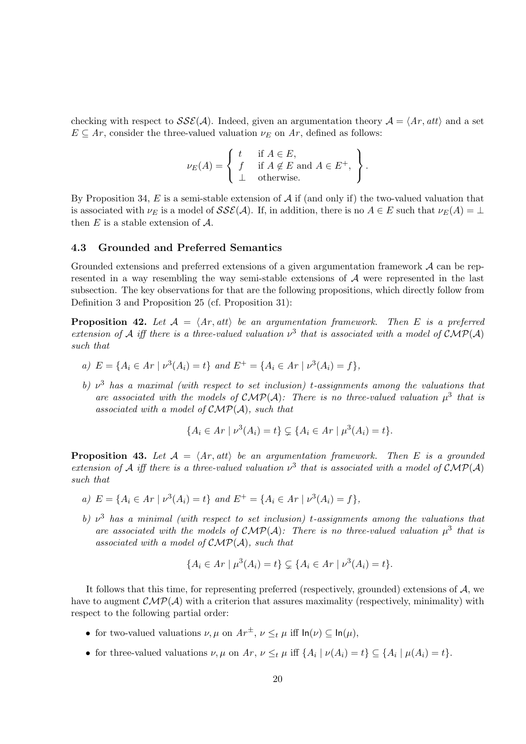checking with respect to  $\mathcal{S}\mathcal{S}\mathcal{E}(\mathcal{A})$ . Indeed, given an argumentation theory  $\mathcal{A} = \langle Ar, att \rangle$  and a set  $E \subseteq Ar$ , consider the three-valued valuation  $\nu_E$  on  $Ar$ , defined as follows:

$$
\nu_E(A) = \left\{ \begin{array}{ll} t & \text{if } A \in E, \\ f & \text{if } A \notin E \text{ and } A \in E^+, \\ \bot & \text{otherwise.} \end{array} \right\}.
$$

By Proposition 34, *E* is a semi-stable extension of *A* if (and only if) the two-valued valuation that is associated with  $\nu_E$  is a model of  $SS\mathcal{E}(\mathcal{A})$ . If, in addition, there is no  $A \in E$  such that  $\nu_E(A) = \perp$ then *E* is a stable extension of *A*.

#### **4.3 Grounded and Preferred Semantics**

Grounded extensions and preferred extensions of a given argumentation framework *A* can be represented in a way resembling the way semi-stable extensions of *A* were represented in the last subsection. The key observations for that are the following propositions, which directly follow from Definition 3 and Proposition 25 (cf. Proposition 31):

**Proposition 42.** Let  $A = \langle Ar, att \rangle$  be an argumentation framework. Then E is a preferred *extension of A iff there is a three-valued valuation*  $\nu^3$  *that is associated with a model of*  $\mathcal{CMP}(A)$ *such that*

- a)  $E = \{A_i \in Ar \mid \nu^3(A_i) = t\}$  and  $E^+ = \{A_i \in Ar \mid \nu^3(A_i) = f\},\$
- *b) ν* <sup>3</sup> *has a maximal (with respect to set inclusion) t-assignments among the valuations that* are associated with the models of  $\mathcal{CMP}(\mathcal{A})$ : There is no three-valued valuation  $\mu^3$  that is *associated with a model of CMP*(*A*)*, such that*

$$
\{A_i \in Ar \mid \nu^3(A_i) = t\} \subsetneq \{A_i \in Ar \mid \mu^3(A_i) = t\}.
$$

**Proposition 43.** Let  $A = \langle Ar, att \rangle$  be an argumentation framework. Then E is a grounded *extension of A iff there is a three-valued valuation*  $\nu^3$  *that is associated with a model of*  $\mathcal{CMP}(\mathcal{A})$ *such that*

- a)  $E = \{A_i \in Ar \mid \nu^3(A_i) = t\}$  and  $E^+ = \{A_i \in Ar \mid \nu^3(A_i) = f\},\$
- *b) ν* <sup>3</sup> *has a minimal (with respect to set inclusion) t-assignments among the valuations that* are associated with the models of  $\mathcal{CMP}(\mathcal{A})$ : There is no three-valued valuation  $\mu^3$  that is *associated with a model of CMP*(*A*)*, such that*

$$
\{A_i \in Ar \mid \mu^3(A_i) = t\} \subsetneq \{A_i \in Ar \mid \nu^3(A_i) = t\}.
$$

It follows that this time, for representing preferred (respectively, grounded) extensions of *A*, we have to augment  $\mathcal{CMP}(\mathcal{A})$  with a criterion that assures maximality (respectively, minimality) with respect to the following partial order:

- for two-valued valuations  $\nu, \mu$  on  $Ar^{\pm}$ ,  $\nu \leq_t \mu$  iff  $\ln(\nu) \subseteq \ln(\mu)$ ,
- for three-valued valuations  $\nu, \mu$  on  $Ar, \nu \leq_t \mu$  iff  $\{A_i \mid \nu(A_i) = t\} \subseteq \{A_i \mid \mu(A_i) = t\}.$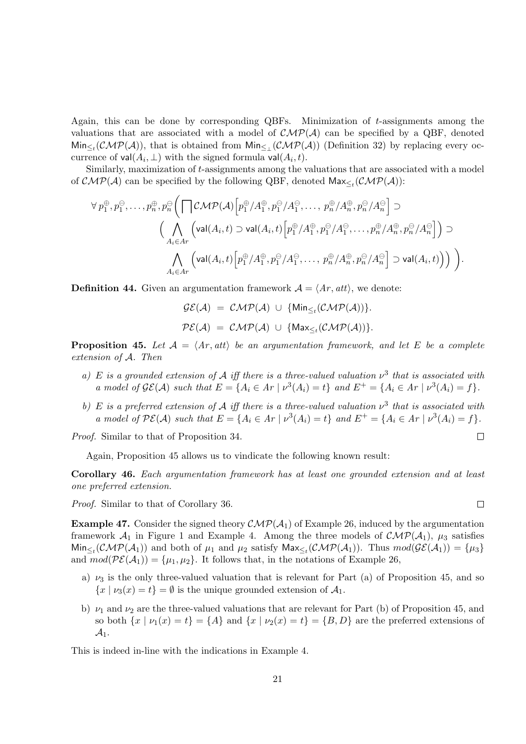Again, this can be done by corresponding QBFs. Minimization of *t*-assignments among the valuations that are associated with a model of  $\mathcal{CMP}(\mathcal{A})$  can be specified by a QBF, denoted  $Min_{\leq t}(\mathcal{CMP}(\mathcal{A}))$ , that is obtained from  $Min_{\leq t}(\mathcal{CMP}(\mathcal{A}))$  (Definition 32) by replacing every occurrence of  $val(A_i, \perp)$  with the signed formula  $val(A_i, t)$ .

Similarly, maximization of *t*-assignments among the valuations that are associated with a model of  $\mathcal{CMP}(\mathcal{A})$  can be specified by the following QBF, denoted  $\textsf{Max}_{\leq t}(\mathcal{CMP}(\mathcal{A}))$ :

$$
\forall p_1^{\oplus}, p_1^{\ominus}, \dots, p_n^{\oplus}, p_n^{\ominus}\Big(\bigcap \mathcal{CMP}(\mathcal{A}) \Big[p_1^{\oplus}/A_1^{\oplus}, p_1^{\ominus}/A_1^{\ominus}, \dots, p_n^{\oplus}/A_n^{\oplus}, p_n^{\ominus}/A_n^{\ominus} \Big] \supset
$$
  

$$
\Big(\bigwedge_{A_i \in A r} \Big(\text{val}(A_i, t) \supset \text{val}(A_i, t) \Big[p_1^{\oplus}/A_1^{\oplus}, p_1^{\ominus}/A_1^{\ominus}, \dots, p_n^{\oplus}/A_n^{\oplus}, p_n^{\ominus}/A_n^{\ominus} \Big] \Big) \supset
$$
  

$$
\bigwedge_{A_i \in A r} \Big(\text{val}(A_i, t) \Big[p_1^{\oplus}/A_1^{\oplus}, p_1^{\ominus}/A_1^{\ominus}, \dots, p_n^{\oplus}/A_n^{\oplus}, p_n^{\ominus}/A_n^{\ominus} \Big] \supset \text{val}(A_i, t)\Big) \Big) \Big).
$$

**Definition 44.** Given an argumentation framework  $A = \langle Ar, att \rangle$ , we denote:

$$
\mathcal{GE}(\mathcal{A}) = \mathcal{CMP}(\mathcal{A}) \cup \{\text{Min}_{\leq t}(\mathcal{CMP}(\mathcal{A}))\}.
$$
  

$$
\mathcal{PE}(\mathcal{A}) = \mathcal{CMP}(\mathcal{A}) \cup \{\text{Max}_{\leq t}(\mathcal{CMP}(\mathcal{A}))\}.
$$

**Proposition 45.** Let  $A = \langle Ar, att \rangle$  be an argumentation framework, and let E be a complete *extension of A. Then*

- *a) E is a grounded extension of A iff there is a three-valued valuation ν* 3 *that is associated with* a model of  $\mathcal{GE}(\mathcal{A})$  such that  $E = \{A_i \in Ar \mid \nu^3(A_i) = t\}$  and  $E^+ = \{A_i \in Ar \mid \nu^3(A_i) = f\}.$
- b) *E* is a preferred extension of *A* iff there is a three-valued valuation  $v^3$  that is associated with a model of  $\mathcal{PE}(\mathcal{A})$  such that  $E = \{A_i \in Ar \mid \nu^3(A_i) = t\}$  and  $E^+ = \{A_i \in Ar \mid \nu^3(A_i) = f\}.$

*Proof.* Similar to that of Proposition 34.

Again, Proposition 45 allows us to vindicate the following known result:

**Corollary 46.** *Each argumentation framework has at least one grounded extension and at least one preferred extension.*

*Proof.* Similar to that of Corollary 36.

**Example 47.** Consider the signed theory  $\mathcal{CMP}(\mathcal{A}_1)$  of Example 26, induced by the argumentation framework  $A_1$  in Figure 1 and Example 4. Among the three models of  $\mathcal{CMP}(A_1)$ ,  $\mu_3$  satisfies  $\text{Min}_{\leq t}(\mathcal{CMP}(\mathcal{A}_1))$  and both of  $\mu_1$  and  $\mu_2$  satisfy  $\text{Max}_{\leq t}(\mathcal{CMP}(\mathcal{A}_1))$ . Thus  $mod(\mathcal{GE}(\mathcal{A}_1)) = {\mu_3}$ and  $mod(\mathcal{PE}(\mathcal{A}_1)) = {\mu_1, \mu_2}$ . It follows that, in the notations of Example 26,

- a)  $\nu_3$  is the only three-valued valuation that is relevant for Part (a) of Proposition 45, and so  ${x \mid \nu_3(x) = t} = \emptyset$  is the unique grounded extension of  $\mathcal{A}_1$ .
- b)  $\nu_1$  and  $\nu_2$  are the three-valued valuations that are relevant for Part (b) of Proposition 45, and so both  $\{x \mid \nu_1(x) = t\} = \{A\}$  and  $\{x \mid \nu_2(x) = t\} = \{B, D\}$  are the preferred extensions of *A*1.

This is indeed in-line with the indications in Example 4.

 $\Box$ 

 $\Box$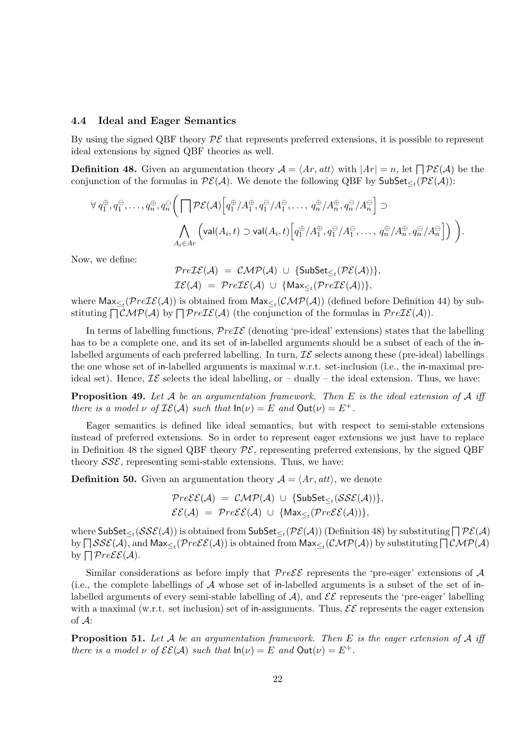#### **4.4 Ideal and Eager Semantics**

By using the signed QBF theory  $\mathcal{P}\mathcal{E}$  that represents preferred extensions, it is possible to represent ideal extensions by signed QBF theories as well.

**Definition 48.** Given an argumentation theory  $A = \langle Ar, att \rangle$  with  $|Ar| = n$ , let  $\bigcap \mathcal{PE}(A)$  be the conjunction of the formulas in  $\mathcal{PE}(A)$ . We denote the following QBF by  $\mathsf{SubSet}_{\leq t}(\mathcal{PE}(A))$ :

$$
\forall q_1^{\oplus}, q_1^{\ominus}, \dots, q_n^{\oplus}, q_n^{\ominus} \Big( \bigcap \mathcal{PE}(\mathcal{A}) \Big[ q_1^{\oplus} / A_1^{\oplus}, q_1^{\ominus} / A_1^{\ominus}, \dots, q_n^{\oplus} / A_n^{\oplus}, q_n^{\ominus} / A_n^{\ominus} \Big] \supset
$$
  

$$
\bigwedge_{A_i \in A_r} \Big( \text{val}(A_i, t) \supset \text{val}(A_i, t) \Big[ q_1^{\oplus} / A_1^{\oplus}, q_1^{\ominus} / A_1^{\ominus}, \dots, q_n^{\oplus} / A_n^{\oplus}, q_n^{\ominus} / A_n^{\ominus} \Big] \Big) \Big).
$$

Now, we define:

$$
Pre\mathcal{IE}(A) = \mathcal{CMP}(A) \cup \{SubSet_{\leq t}(\mathcal{PE}(A))\},
$$
  

$$
\mathcal{IE}(A) = Pre\mathcal{IE}(A) \cup \{Max_{\leq t}(\mathcal{PreIE}(A))\},
$$

where  $\textsf{Max}_{\leq t}(\mathcal{P}re\mathcal{IE}(\mathcal{A}))$  is obtained from  $\textsf{Max}_{\leq t}(\mathcal{CMP}(\mathcal{A}))$  (defined before Definition 44) by substituting  $\bigcap \mathcal{CMP}(\mathcal{A})$  by  $\bigcap \mathcal{P}re\mathcal{I}\mathcal{E}(\mathcal{A})$  (the conjunction of the formulas in  $\mathcal{P}re\mathcal{I}\mathcal{E}(\mathcal{A})$ ).

In terms of labelling functions,  $PreIE$  (denoting 'pre-ideal' extensions) states that the labelling has to be a complete one, and its set of in-labelled arguments should be a subset of each of the inlabelled arguments of each preferred labelling. In turn,  $\mathcal{IE}$  selects among these (pre-ideal) labellings the one whose set of in-labelled arguments is maximal w.r.t. set-inclusion (i.e., the in-maximal preideal set). Hence,  $\mathcal{IE}$  selects the ideal labelling, or  $-$  dually  $-$  the ideal extension. Thus, we have:

**Proposition 49.** *Let A be an argumentation framework. Then E is the ideal extension of A iff there is a model*  $\nu$  *of*  $I\mathcal{E}(\mathcal{A})$  *such that*  $\ln(\nu) = E$  *and*  $\text{Out}(\nu) = E^+$ *.* 

Eager semantics is defined like ideal semantics, but with respect to semi-stable extensions instead of preferred extensions. So in order to represent eager extensions we just have to replace in Definition 48 the signed QBF theory  $\mathcal{PE}$ , representing preferred extensions, by the signed QBF theory *SSE*, representing semi-stable extensions. Thus, we have:

**Definition 50.** Given an argumentation theory  $A = \langle Ar, att \rangle$ , we denote

$$
Pre\mathcal{E}(\mathcal{A}) = \mathcal{CMP}(\mathcal{A}) \cup \{\mathsf{SubSet}_{\leq t}(\mathcal{S}\mathcal{S}\mathcal{E}(\mathcal{A}))\},
$$
  

$$
\mathcal{E}(\mathcal{A}) = Pre\mathcal{E}\mathcal{E}(\mathcal{A}) \cup \{\mathsf{Max}_{\leq t}(\mathcal{P}re\mathcal{E}(\mathcal{A}))\},
$$

where  $\textsf{SubSet}_{\leq t}(\mathcal{SSE}(\mathcal{A}))$  is obtained from  $\textsf{SubSet}_{\leq t}(\mathcal{PE}(\mathcal{A}))$  (Definition 48) by substituting  $\bigcap \mathcal{PE}(\mathcal{A})$  $\log\bigcap\mathcal{SSE}(\mathcal{A})$ , and  $\mathsf{Max}_{\leq t}(\mathcal{P}re\mathcal{E}\mathcal{E}(\mathcal{A}))$  is obtained from  $\mathsf{Max}_{\leq t}(\mathcal{CMP}(\mathcal{A}))$  by substituting  $\bigcap\mathcal{CMP}(\mathcal{A})$ by  $\bigcap PreE\mathcal{E}(\mathcal{A})$ .

Similar considerations as before imply that  $Pre \mathcal{E} \mathcal{E}$  represents the 'pre-eager' extensions of  $\mathcal{A}$ (i.e., the complete labellings of *A* whose set of in-labelled arguments is a subset of the set of inlabelled arguments of every semi-stable labelling of  $A$ ), and  $\mathcal{E}\mathcal{E}$  represents the 'pre-eager' labelling with a maximal (w.r.t. set inclusion) set of in-assignments. Thus,  $\mathcal{E}\mathcal{E}$  represents the eager extension of *A*:

**Proposition 51.** *Let A be an argumentation framework. Then E is the eager extension of A iff there is a model*  $\nu$  *of*  $\mathcal{E}\mathcal{E}(\mathcal{A})$  *such that*  $ln(\nu) = E$  *and*  $Out(\nu) = E^+$ *.*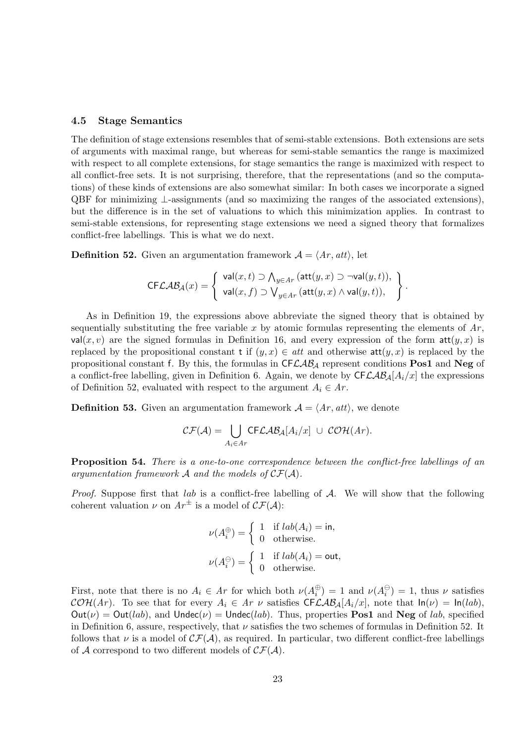#### **4.5 Stage Semantics**

The definition of stage extensions resembles that of semi-stable extensions. Both extensions are sets of arguments with maximal range, but whereas for semi-stable semantics the range is maximized with respect to all complete extensions, for stage semantics the range is maximized with respect to all conflict-free sets. It is not surprising, therefore, that the representations (and so the computations) of these kinds of extensions are also somewhat similar: In both cases we incorporate a signed QBF for minimizing *⊥*-assignments (and so maximizing the ranges of the associated extensions), but the difference is in the set of valuations to which this minimization applies. In contrast to semi-stable extensions, for representing stage extensions we need a signed theory that formalizes conflict-free labellings. This is what we do next.

**Definition 52.** Given an argumentation framework  $A = \langle Ar, att \rangle$ , let

$$
\mathsf{CFLAB}_\mathcal{A}(x) = \left\{ \begin{array}{l} \mathsf{val}(x,t) \supset \bigwedge_{y \in Ar} (\mathsf{att}(y,x) \supset \neg \mathsf{val}(y,t)), \\ \mathsf{val}(x,f) \supset \bigvee_{y \in Ar} (\mathsf{att}(y,x) \wedge \mathsf{val}(y,t)), \end{array} \right\}.
$$

As in Definition 19, the expressions above abbreviate the signed theory that is obtained by sequentially substituting the free variable x by atomic formulas representing the elements of  $Ar$ , val(x, v) are the signed formulas in Definition 16, and every expression of the form  $\text{att}(y, x)$  is replaced by the propositional constant t if  $(y, x) \in att$  and otherwise  $att(y, x)$  is replaced by the propositional constant f. By this, the formulas in CF*LAB<sup>A</sup>* represent conditions **Pos1** and **Neg** of a conflict-free labelling, given in Definition 6. Again, we denote by  $CFLAB<sub>A</sub>[A<sub>i</sub>/x]$  the expressions of Definition 52, evaluated with respect to the argument  $A_i \in Ar$ .

**Definition 53.** Given an argumentation framework  $A = \langle Ar, att \rangle$ , we denote

$$
\mathcal{CF}(\mathcal{A}) = \bigcup_{A_i \in Ar} \mathsf{CFLAB}_\mathcal{A}[A_i/x] \ \cup \ \mathcal{COH}(Ar).
$$

**Proposition 54.** *There is a one-to-one correspondence between the conflict-free labellings of an* argumentation framework  $\mathcal A$  and the models of  $\mathcal{CF}(\mathcal A)$ .

*Proof.* Suppose first that *lab* is a conflict-free labelling of *A*. We will show that the following coherent valuation  $\nu$  on  $Ar^{\pm}$  is a model of  $\mathcal{CF}(\mathcal{A})$ :

$$
\nu(A_i^{\oplus}) = \begin{cases} 1 & \text{if } lab(A_i) = \text{in,} \\ 0 & \text{otherwise.} \end{cases}
$$

$$
\nu(A_i^{\ominus}) = \begin{cases} 1 & \text{if } lab(A_i) = \text{out,} \\ 0 & \text{otherwise.} \end{cases}
$$

First, note that there is no  $A_i \in Ar$  for which both  $\nu(A_i^{\oplus}) = 1$  and  $\nu(A_i^{\ominus}) = 1$ , thus  $\nu$  satisfies  $\mathcal{COH}(Ar)$ . To see that for every  $A_i \in Ar$  *v* satisfies CF*LAB*<sub>*A*</sub>[ $A_i/x$ ], note that  $\ln(\nu) = \ln(lab)$ ,  $Out(\nu) = Out(lab)$ , and  $Under(\nu) = Under(lab)$ . Thus, properties **Pos1** and **Neg** of *lab*, specified in Definition 6, assure, respectively, that *ν* satisfies the two schemes of formulas in Definition 52. It follows that  $\nu$  is a model of  $\mathcal{CF}(\mathcal{A})$ , as required. In particular, two different conflict-free labellings of  $A$  correspond to two different models of  $\mathcal{CF}(A)$ .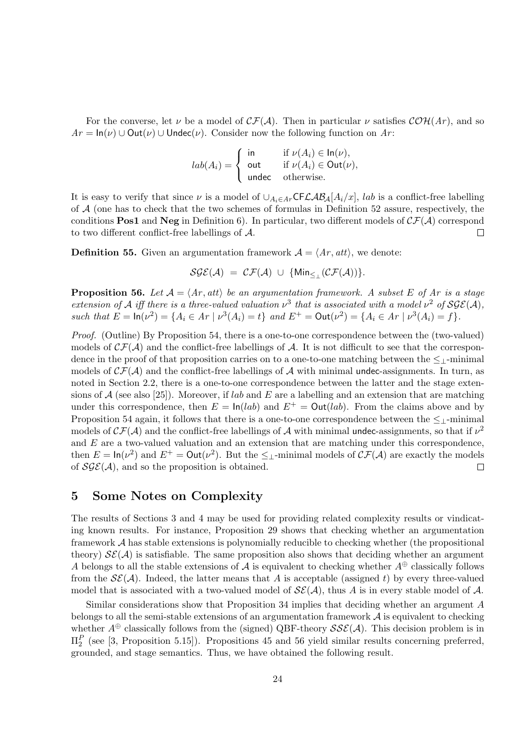For the converse, let  $\nu$  be a model of  $\mathcal{CF}(\mathcal{A})$ . Then in particular  $\nu$  satisfies  $\mathcal{COH}(Ar)$ , and so  $Ar = \ln(\nu) \cup \text{Out}(\nu) \cup \text{Under}(\nu)$ . Consider now the following function on *Ar*:

$$
lab(A_i) = \begin{cases} \text{ in } & \text{if } \nu(A_i) \in \text{In}(\nu), \\ \text{out } & \text{if } \nu(A_i) \in \text{Out}(\nu), \\ \text{undec } & \text{otherwise.} \end{cases}
$$

It is easy to verify that since  $\nu$  is a model of  $\bigcup_{A_i \in A} CFC\mathcal{AB}_A[A_i/x], \text{ } lab$  is a conflict-free labelling of *A* (one has to check that the two schemes of formulas in Definition 52 assure, respectively, the conditions **Pos1** and **Neg** in Definition 6). In particular, two different models of  $\mathcal{CF}(\mathcal{A})$  correspond to two different conflict-free labellings of *A*.  $\Box$ 

**Definition 55.** Given an argumentation framework  $A = \langle Ar, att \rangle$ , we denote:

$$
\mathcal{SGE}(\mathcal{A}) = \mathcal{CF}(\mathcal{A}) \cup \{\text{Min}_{\leq \perp}(\mathcal{CF}(\mathcal{A}))\}.
$$

**Proposition 56.** Let  $A = \langle Ar, att \rangle$  be an argumentation framework. A subset E of Ar is a stage *extension of A iff there is a three-valued valuation*  $\nu^3$  *that is associated with a model*  $\nu^2$  *of*  $SGE(A)$ *,* such that  $E = \ln(\nu^2) = \{A_i \in Ar \mid \nu^3(A_i) = t\}$  and  $E^+ = \text{Out}(\nu^2) = \{A_i \in Ar \mid \nu^3(A_i) = f\}.$ 

*Proof.* (Outline) By Proposition 54, there is a one-to-one correspondence between the (two-valued) models of  $\mathcal{CF}(\mathcal{A})$  and the conflict-free labellings of  $\mathcal{A}$ . It is not difficult to see that the correspondence in the proof of that proposition carries on to a one-to-one matching between the *≤⊥*-minimal models of  $\mathcal{CF}(\mathcal{A})$  and the conflict-free labellings of  $\mathcal{A}$  with minimal undec-assignments. In turn, as noted in Section 2.2, there is a one-to-one correspondence between the latter and the stage extensions of *A* (see also [25]). Moreover, if *lab* and *E* are a labelling and an extension that are matching under this correspondence, then  $E = \ln(lab)$  and  $E^+ = \text{Out}(lab)$ . From the claims above and by Proposition 54 again, it follows that there is a one-to-one correspondence between the *≤⊥*-minimal models of  $\mathcal{CF}(A)$  and the conflict-free labellings of A with minimal undec-assignments, so that if  $\nu^2$ and *E* are a two-valued valuation and an extension that are matching under this correspondence, then  $E = \ln(\nu^2)$  and  $E^+ = \text{Out}(\nu^2)$ . But the  $\leq_{\perp}$ -minimal models of  $\mathcal{CF}(\mathcal{A})$  are exactly the models of  $\mathcal{SGE}(\mathcal{A})$ , and so the proposition is obtained.

### **5 Some Notes on Complexity**

The results of Sections 3 and 4 may be used for providing related complexity results or vindicating known results. For instance, Proposition 29 shows that checking whether an argumentation framework *A* has stable extensions is polynomially reducible to checking whether (the propositional theory)  $\mathcal{SE}(\mathcal{A})$  is satisfiable. The same proposition also shows that deciding whether an argument *A* belongs to all the stable extensions of *A* is equivalent to checking whether  $A^{\oplus}$  classically follows from the  $\mathcal{SE}(\mathcal{A})$ . Indeed, the latter means that *A* is acceptable (assigned *t*) by every three-valued model that is associated with a two-valued model of  $\mathcal{SE}(\mathcal{A})$ , thus *A* is in every stable model of  $\mathcal{A}$ .

Similar considerations show that Proposition 34 implies that deciding whether an argument *A* belongs to all the semi-stable extensions of an argumentation framework *A* is equivalent to checking whether  $A^{\oplus}$  classically follows from the (signed) QBF-theory  $SSE(A)$ . This decision problem is in Π*<sup>P</sup>* 2 (see [3, Proposition 5.15]). Propositions 45 and 56 yield similar results concerning preferred, grounded, and stage semantics. Thus, we have obtained the following result.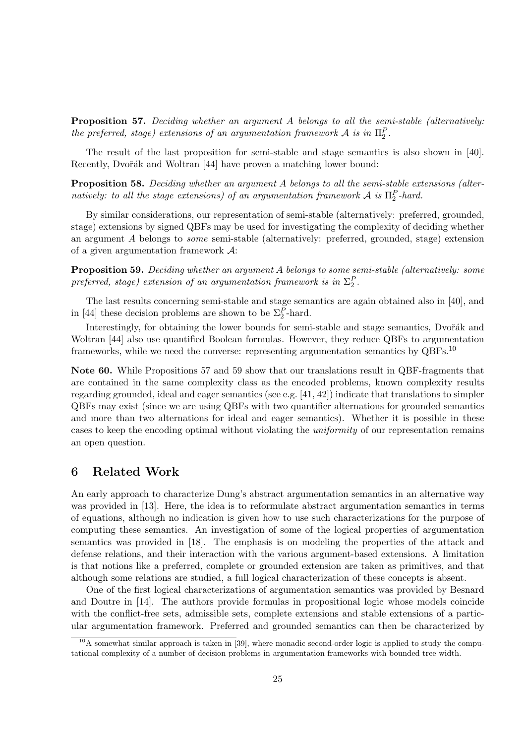**Proposition 57.** *Deciding whether an argument A belongs to all the semi-stable (alternatively: the preferred, stage) extensions of an argumentation framework*  $A$  *is in*  $\Pi_2^P$ *.* 

The result of the last proposition for semi-stable and stage semantics is also shown in [40]. Recently, Dvořák and Woltran [44] have proven a matching lower bound:

**Proposition 58.** *Deciding whether an argument A belongs to all the semi-stable extensions (alternatively: to all the stage extensions) of an argumentation framework*  $\mathcal{A}$  *is*  $\Pi_2^P$ -hard.

By similar considerations, our representation of semi-stable (alternatively: preferred, grounded, stage) extensions by signed QBFs may be used for investigating the complexity of deciding whether an argument *A* belongs to *some* semi-stable (alternatively: preferred, grounded, stage) extension of a given argumentation framework *A*:

**Proposition 59.** *Deciding whether an argument A belongs to some semi-stable (alternatively: some preferred, stage) extension of an argumentation framework is in*  $\Sigma_2^P$ .

The last results concerning semi-stable and stage semantics are again obtained also in [40], and in [44] these decision problems are shown to be  $\Sigma_2^P$ -hard.

Interestingly, for obtaining the lower bounds for semi-stable and stage semantics, Dvořák and Woltran [44] also use quantified Boolean formulas. However, they reduce QBFs to argumentation frameworks, while we need the converse: representing argumentation semantics by QBFs.<sup>10</sup>

**Note 60.** While Propositions 57 and 59 show that our translations result in QBF-fragments that are contained in the same complexity class as the encoded problems, known complexity results regarding grounded, ideal and eager semantics (see e.g. [41, 42]) indicate that translations to simpler QBFs may exist (since we are using QBFs with two quantifier alternations for grounded semantics and more than two alternations for ideal and eager semantics). Whether it is possible in these cases to keep the encoding optimal without violating the *uniformity* of our representation remains an open question.

### **6 Related Work**

An early approach to characterize Dung's abstract argumentation semantics in an alternative way was provided in [13]. Here, the idea is to reformulate abstract argumentation semantics in terms of equations, although no indication is given how to use such characterizations for the purpose of computing these semantics. An investigation of some of the logical properties of argumentation semantics was provided in [18]. The emphasis is on modeling the properties of the attack and defense relations, and their interaction with the various argument-based extensions. A limitation is that notions like a preferred, complete or grounded extension are taken as primitives, and that although some relations are studied, a full logical characterization of these concepts is absent.

One of the first logical characterizations of argumentation semantics was provided by Besnard and Doutre in [14]. The authors provide formulas in propositional logic whose models coincide with the conflict-free sets, admissible sets, complete extensions and stable extensions of a particular argumentation framework. Preferred and grounded semantics can then be characterized by

 $10$ A somewhat similar approach is taken in [39], where monadic second-order logic is applied to study the computational complexity of a number of decision problems in argumentation frameworks with bounded tree width.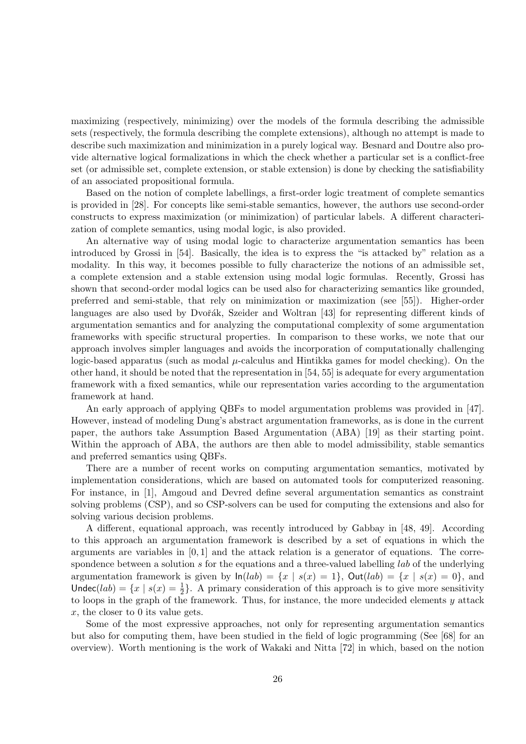maximizing (respectively, minimizing) over the models of the formula describing the admissible sets (respectively, the formula describing the complete extensions), although no attempt is made to describe such maximization and minimization in a purely logical way. Besnard and Doutre also provide alternative logical formalizations in which the check whether a particular set is a conflict-free set (or admissible set, complete extension, or stable extension) is done by checking the satisfiability of an associated propositional formula.

Based on the notion of complete labellings, a first-order logic treatment of complete semantics is provided in [28]. For concepts like semi-stable semantics, however, the authors use second-order constructs to express maximization (or minimization) of particular labels. A different characterization of complete semantics, using modal logic, is also provided.

An alternative way of using modal logic to characterize argumentation semantics has been introduced by Grossi in [54]. Basically, the idea is to express the "is attacked by" relation as a modality. In this way, it becomes possible to fully characterize the notions of an admissible set, a complete extension and a stable extension using modal logic formulas. Recently, Grossi has shown that second-order modal logics can be used also for characterizing semantics like grounded, preferred and semi-stable, that rely on minimization or maximization (see [55]). Higher-order languages are also used by Dvořák, Szeider and Woltran [43] for representing different kinds of argumentation semantics and for analyzing the computational complexity of some argumentation frameworks with specific structural properties. In comparison to these works, we note that our approach involves simpler languages and avoids the incorporation of computationally challenging logic-based apparatus (such as modal *µ*-calculus and Hintikka games for model checking). On the other hand, it should be noted that the representation in [54, 55] is adequate for every argumentation framework with a fixed semantics, while our representation varies according to the argumentation framework at hand.

An early approach of applying QBFs to model argumentation problems was provided in [47]. However, instead of modeling Dung's abstract argumentation frameworks, as is done in the current paper, the authors take Assumption Based Argumentation (ABA) [19] as their starting point. Within the approach of ABA, the authors are then able to model admissibility, stable semantics and preferred semantics using QBFs.

There are a number of recent works on computing argumentation semantics, motivated by implementation considerations, which are based on automated tools for computerized reasoning. For instance, in [1], Amgoud and Devred define several argumentation semantics as constraint solving problems (CSP), and so CSP-solvers can be used for computing the extensions and also for solving various decision problems.

A different, equational approach, was recently introduced by Gabbay in [48, 49]. According to this approach an argumentation framework is described by a set of equations in which the arguments are variables in [0*,* 1] and the attack relation is a generator of equations. The correspondence between a solution *s* for the equations and a three-valued labelling *lab* of the underlying argumentation framework is given by  $ln(lab) = \{x \mid s(x) = 1\}$ ,  $Out(lab) = \{x \mid s(x) = 0\}$ , and Undec(*lab*) =  $\{x \mid s(x) = \frac{1}{2}\}$ . A primary consideration of this approach is to give more sensitivity to loops in the graph of the framework. Thus, for instance, the more undecided elements *y* attack *x*, the closer to 0 its value gets.

Some of the most expressive approaches, not only for representing argumentation semantics but also for computing them, have been studied in the field of logic programming (See [68] for an overview). Worth mentioning is the work of Wakaki and Nitta [72] in which, based on the notion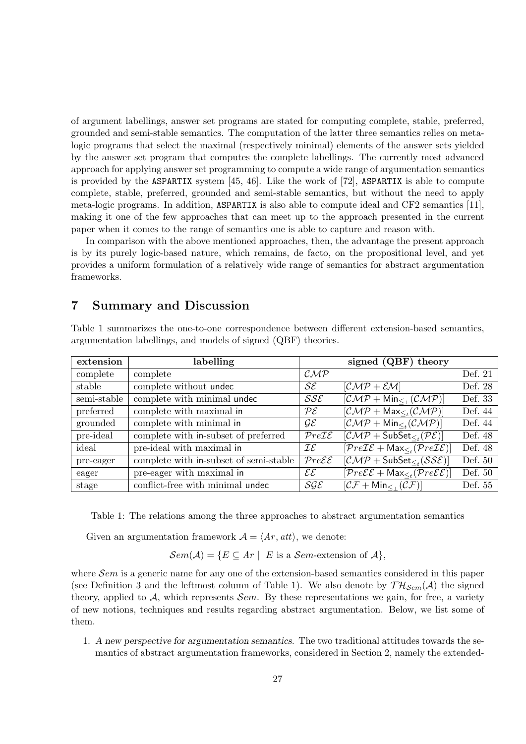of argument labellings, answer set programs are stated for computing complete, stable, preferred, grounded and semi-stable semantics. The computation of the latter three semantics relies on metalogic programs that select the maximal (respectively minimal) elements of the answer sets yielded by the answer set program that computes the complete labellings. The currently most advanced approach for applying answer set programming to compute a wide range of argumentation semantics is provided by the ASPARTIX system [45, 46]. Like the work of [72], ASPARTIX is able to compute complete, stable, preferred, grounded and semi-stable semantics, but without the need to apply meta-logic programs. In addition, ASPARTIX is also able to compute ideal and CF2 semantics [11], making it one of the few approaches that can meet up to the approach presented in the current paper when it comes to the range of semantics one is able to capture and reason with.

In comparison with the above mentioned approaches, then, the advantage the present approach is by its purely logic-based nature, which remains, de facto, on the propositional level, and yet provides a uniform formulation of a relatively wide range of semantics for abstract argumentation frameworks.

### **7 Summary and Discussion**

| Table 1 summarizes the one-to-one correspondence between different extension-based semantics, |  |  |  |
|-----------------------------------------------------------------------------------------------|--|--|--|
| argumentation labellings, and models of signed (QBF) theories.                                |  |  |  |

| extension   | labelling                              |                                     |                                                                                       |         |
|-------------|----------------------------------------|-------------------------------------|---------------------------------------------------------------------------------------|---------|
| complete    | complete                               | $\mathcal{CMP}$                     |                                                                                       | Def. 21 |
| stable      | complete without undec                 | $\mathcal{S}\mathcal{E}$            | $[CMP + EM]$                                                                          | Def. 28 |
| semi-stable | complete with minimal undec            | $\mathcal{S}\mathcal{S}\mathcal{E}$ | $[\mathcal{CMP} + \mathsf{Min}_{\leq} (\mathcal{CMP})]$                               | Def. 33 |
| preferred   | complete with maximal in               | $\mathcal{P}\mathcal{E}$            | $[\mathcal{CMP} + \mathsf{Max}_{\leq t}(\mathcal{CMP})]$                              | Def. 44 |
| grounded    | complete with minimal in               | $\mathcal{GE}$                      | $[\mathcal{CMP} + \mathsf{Min}_{\leq t}(\mathcal{CMP})]$                              | Def. 44 |
| pre-ideal   | complete with in-subset of preferred   | PreIE                               | $[\mathcal{CMP} + \mathsf{SubSet}_{\leq_{\mathcal{I}}}(\mathcal{PE})]$                | Def. 48 |
| ideal       | pre-ideal with maximal in              | $\mathcal{IE}$                      | $[Pre \mathcal{IE} + \mathsf{Max}_{\leq r} (Pre \mathcal{IE})]$                       | Def. 48 |
| pre-eager   | complete with in-subset of semi-stable | $Pre \mathcal{E}$                   | $[\mathcal{CMP} + \mathsf{SubSet}_{\leq t}(\mathcal{SSE})]$                           | Def. 50 |
| eager       | pre-eager with maximal in              | $\mathcal{E}\mathcal{E}$            | $[Pre \mathcal{E} \mathcal{E} + \mathsf{Max}_{\leq t} (Pre \mathcal{E} \mathcal{E})]$ | Def. 50 |
| stage       | conflict-free with minimal undec       | SGE                                 | $[\mathcal{CF} + \mathsf{Min}_{\leq}(\mathcal{CF})]$                                  | Def. 55 |

Table 1: The relations among the three approaches to abstract argumentation semantics

Given an argumentation framework  $A = \langle Ar, att \rangle$ , we denote:

 $Sem(\mathcal{A}) = \{ E \subseteq Ar \mid E \text{ is a } Sem\text{-extension of } \mathcal{A} \},$ 

where *Sem* is a generic name for any one of the extension-based semantics considered in this paper (see Definition 3 and the leftmost column of Table 1). We also denote by  $TH_{Sem}(\mathcal{A})$  the signed theory, applied to  $A$ , which represents  $\mathcal{S}em$ . By these representations we gain, for free, a variety of new notions, techniques and results regarding abstract argumentation. Below, we list some of them.

1. *A new perspective for argumentation semantics.* The two traditional attitudes towards the semantics of abstract argumentation frameworks, considered in Section 2, namely the extended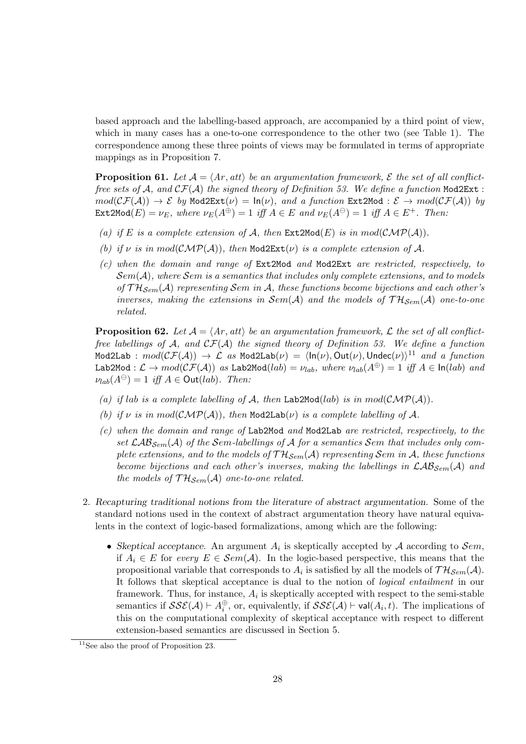based approach and the labelling-based approach, are accompanied by a third point of view, which in many cases has a one-to-one correspondence to the other two (see Table 1). The correspondence among these three points of views may be formulated in terms of appropriate mappings as in Proposition 7.

**Proposition 61.** Let  $A = \langle Ar, att \rangle$  be an argumentation framework,  $\mathcal{E}$  the set of all conflict*free sets of*  $A$ *, and*  $CF(A)$  *the signed theory of Definition 53. We define a function* Mod2Ext :  $mod(\mathcal{CF}(\mathcal{A})) \to \mathcal{E}$  *by* Mod2Ext( $\nu$ ) =  $ln(\nu)$ *, and a function* Ext2Mod :  $\mathcal{E} \to mod(\mathcal{CF}(\mathcal{A}))$  *by*  $\text{Ext2Mod}(E) = \nu_E$ , where  $\nu_E(A^{\oplus}) = 1$  iff  $A \in E$  and  $\nu_E(A^{\ominus}) = 1$  iff  $A \in E^+$ . Then:

- (a) if *E* is a complete extension of *A*, then  $Ext2Mod(E)$  is in  $mod(\mathcal{CMP(A)})$ .
- *(b) if*  $\nu$  *is in*  $mod(\mathcal{CMP(A)})$ *, then* Mod2Ext( $\nu$ ) *is a complete extension of* A.
- *(c) when the domain and range of* Ext2Mod *and* Mod2Ext *are restricted, respectively, to Sem*(*A*)*, where Sem is a semantics that includes only complete extensions, and to models of T HSem*(*A*) *representing Sem in A, these functions become bijections and each other's inverses, making the extensions in*  $Sem(\mathcal{A})$  *and the models of*  $TH_{Sem}(\mathcal{A})$  *one-to-one related.*

**Proposition 62.** Let  $A = \langle Ar, att \rangle$  be an argumentation framework, L the set of all conflict*free labellings of A, and CF*(*A*) *the signed theory of Definition 53. We define a function*  $\mathsf{Mod2Lab}\,:\,mod(\mathcal{CF}(\mathcal{A}))\,\to\,\mathcal{L}\,\,\,as\,\,\mathsf{Mod2Lab}(\nu)\,=\,\langle\mathsf{In}(\nu),\mathsf{Out}(\nu),\mathsf{Under}(\nu)\rangle^{11}\,\,\,and\,\,\,a\,\,\,function$  $\text{Lab2Mod}: \mathcal{L} \to \text{mod}(\mathcal{CF}(\mathcal{A}))$  *as* Lab2Mod(*lab*) =  $\nu_{lab}$ *, where*  $\nu_{lab}(A^{\oplus}) = 1$  *iff*  $A \in \text{In}(lab)$  *and*  $\nu_{lab}(A^{\ominus}) = 1$  *iff*  $A \in$  Out(*lab*)*. Then:* 

- (a) if lab is a complete labelling of  $A$ , then Lab2Mod(*lab*) is in  $mod(\mathcal{CMP}(A))$ .
- *(b) if*  $\nu$  *is in*  $mod(\mathcal{CMP(A)})$ *, then*  $Mod2Lab(\nu)$  *is a complete labelling of*  $\mathcal{A}$ *.*
- *(c) when the domain and range of* Lab2Mod *and* Mod2Lab *are restricted, respectively, to the* set  $\mathcal{LAB}_{Sem}(\mathcal{A})$  of the Sem-labellings of  $\mathcal{A}$  for a semantics Sem that includes only com*plete extensions, and to the models of*  $TH_{Sem}(\mathcal{A})$  *representing Sem in*  $\mathcal{A}$ *, these functions become bijections and each other's inverses, making the labellings in LABSem*(*A*) *and the models of*  $TH_{Sem}(\mathcal{A})$  *one-to-one related.*
- 2. *Recapturing traditional notions from the literature of abstract argumentation.* Some of the standard notions used in the context of abstract argumentation theory have natural equivalents in the context of logic-based formalizations, among which are the following:
	- *Skeptical acceptance.* An argument  $A_i$  is skeptically accepted by  $A$  according to  $\mathcal{S}em$ , if  $A_i$  ∈ *E* for *every*  $E \text{ ∈ } \mathcal{S}em(\mathcal{A})$ . In the logic-based perspective, this means that the propositional variable that corresponds to  $A_i$  is satisfied by all the models of  $TH_{Sem}(\mathcal{A})$ . It follows that skeptical acceptance is dual to the notion of *logical entailment* in our framework. Thus, for instance,  $A_i$  is skeptically accepted with respect to the semi-stable semantics if  $SSE(\mathcal{A}) \vdash A_i^{\oplus}$ , or, equivalently, if  $SSE(\mathcal{A}) \vdash \mathsf{val}(A_i, t)$ . The implications of this on the computational complexity of skeptical acceptance with respect to different extension-based semantics are discussed in Section 5.

 $11$ See also the proof of Proposition 23.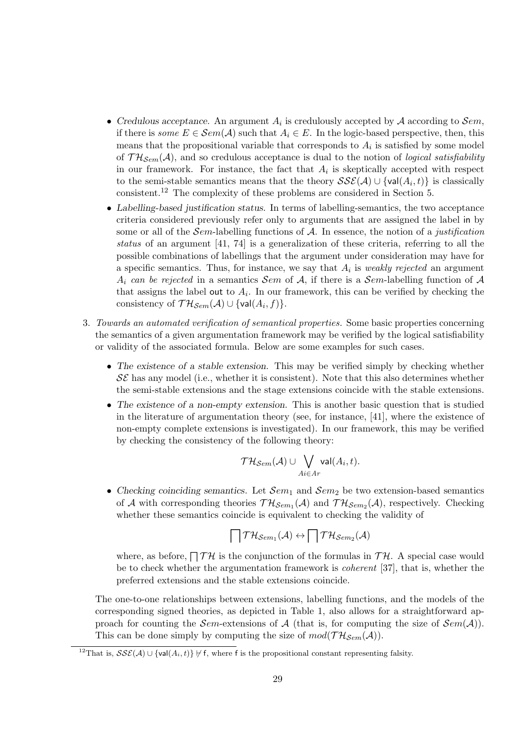- *• Credulous acceptance.* An argument *A<sup>i</sup>* is credulously accepted by *A* according to *Sem*, if there is *some*  $E \in \mathcal{S}em(\mathcal{A})$  such that  $A_i \in E$ . In the logic-based perspective, then, this means that the propositional variable that corresponds to  $A_i$  is satisfied by some model of  $TH_{Sem}(\mathcal{A})$ , and so credulous acceptance is dual to the notion of *logical satisfiability* in our framework. For instance, the fact that  $A_i$  is skeptically accepted with respect to the semi-stable semantics means that the theory  $\mathcal{SSE}(\mathcal{A}) \cup \{val(A_i, t)\}\$ is classically consistent.<sup>12</sup> The complexity of these problems are considered in Section 5.
- *• Labelling-based justification status.* In terms of labelling-semantics, the two acceptance criteria considered previously refer only to arguments that are assigned the label in by some or all of the *Sem*-labelling functions of *A*. In essence, the notion of a *justification status* of an argument [41, 74] is a generalization of these criteria, referring to all the possible combinations of labellings that the argument under consideration may have for a specific semantics. Thus, for instance, we say that *A<sup>i</sup>* is *weakly rejected* an argument *A*<sup>*i*</sup> *can be rejected* in a semantics *Sem* of *A*, if there is a *Sem*-labelling function of *A* that assigns the label out to  $A_i$ . In our framework, this can be verified by checking the  $\text{consistency of } \mathcal{TH}_{\mathcal{S}em}(\mathcal{A}) \cup \{\textsf{val}(A_i, f)\}.$
- 3. *Towards an automated verification of semantical properties.* Some basic properties concerning the semantics of a given argumentation framework may be verified by the logical satisfiability or validity of the associated formula. Below are some examples for such cases.
	- The existence of a stable extension. This may be verified simply by checking whether  $\mathcal{S}\mathcal{E}$  has any model (i.e., whether it is consistent). Note that this also determines whether the semi-stable extensions and the stage extensions coincide with the stable extensions.
	- *• The existence of a non-empty extension.* This is another basic question that is studied in the literature of argumentation theory (see, for instance, [41], where the existence of non-empty complete extensions is investigated). In our framework, this may be verified by checking the consistency of the following theory:

$$
\mathcal{TH}_{Sem}(\mathcal{A}) \cup \bigvee_{Ai \in Ar} \mathsf{val}(A_i, t).
$$

• Checking coinciding semantics. Let  $\mathcal{S}em_1$  and  $\mathcal{S}em_2$  be two extension-based semantics of *A* with corresponding theories  $TH_{Sem_1}(A)$  and  $TH_{Sem_2}(A)$ , respectively. Checking whether these semantics coincide is equivalent to checking the validity of

$$
\bigcap \mathcal{TH}_{\mathcal{S}em_1}(\mathcal{A}) \leftrightarrow \bigcap \mathcal{TH}_{\mathcal{S}em_2}(\mathcal{A})
$$

where, as before,  $\bigcap \mathcal{TH}$  is the conjunction of the formulas in  $\mathcal{TH}$ . A special case would be to check whether the argumentation framework is *coherent* [37], that is, whether the preferred extensions and the stable extensions coincide.

The one-to-one relationships between extensions, labelling functions, and the models of the corresponding signed theories, as depicted in Table 1, also allows for a straightforward approach for counting the *Sem*-extensions of  $A$  (that is, for computing the size of  $\mathcal{S}em(A)$ ). This can be done simply by computing the size of  $mod(\mathcal{TH}_{Sem}(\mathcal{A}))$ .

<sup>&</sup>lt;sup>12</sup>That is,  $\mathcal{S}\mathcal{S}\mathcal{E}(\mathcal{A}) \cup \{\text{val}(\mathcal{A}_i, t)\} \neq f$ , where f is the propositional constant representing falsity.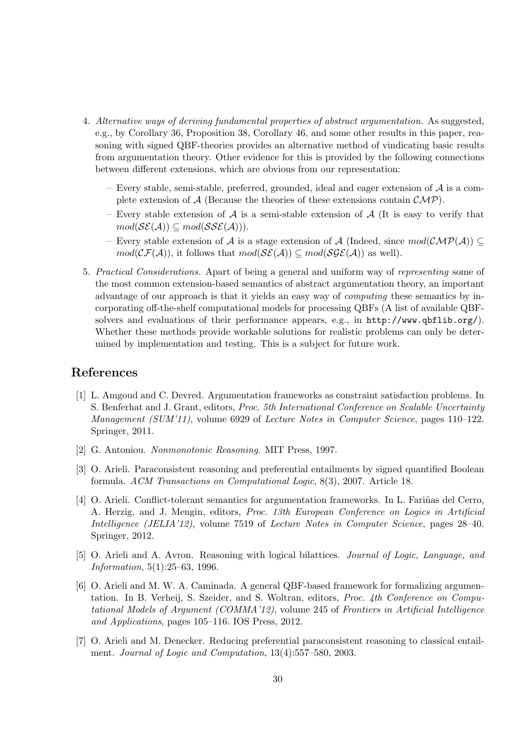- 4. *Alternative ways of deriving fundamental properties of abstract argumentation.* As suggested, e.g., by Corollary 36, Proposition 38, Corollary 46, and some other results in this paper, reasoning with signed QBF-theories provides an alternative method of vindicating basic results from argumentation theory. Other evidence for this is provided by the following connections between different extensions, which are obvious from our representation:
	- Every stable, semi-stable, preferred, grounded, ideal and eager extension of *A* is a complete extension of  $\mathcal{A}$  (Because the theories of these extensions contain  $\mathcal{CMP}$ ).
	- Every stable extension of *A* is a semi-stable extension of *A* (It is easy to verify that  $mod(\mathcal{S}\mathcal{E}(\mathcal{A})) \subseteq mod(\mathcal{S}\mathcal{S}\mathcal{E}(\mathcal{A}))).$
	- Every stable extension of *A* is a stage extension of *A* (Indeed, since *mod*(*CMP*(*A*)) *⊆*  $mod(\mathcal{CF}(\mathcal{A}))$ , it follows that  $mod(\mathcal{SE}(\mathcal{A})) \subseteq mod(\mathcal{SGE}(\mathcal{A}))$  as well).
- 5. *Practical Considerations.* Apart of being a general and uniform way of *representing* some of the most common extension-based semantics of abstract argumentation theory, an important advantage of our approach is that it yields an easy way of *computing* these semantics by incorporating off-the-shelf computational models for processing QBFs (A list of available QBFsolvers and evaluations of their performance appears, e.g., in http://www.qbflib.org/). Whether these methods provide workable solutions for realistic problems can only be determined by implementation and testing. This is a subject for future work.

## **References**

- [1] L. Amgoud and C. Devred. Argumentation frameworks as constraint satisfaction problems. In S. Benferhat and J. Grant, editors, *Proc. 5th International Conference on Scalable Uncertainty Management (SUM'11)*, volume 6929 of *Lecture Notes in Computer Science*, pages 110–122. Springer, 2011.
- [2] G. Antoniou. *Nonmonotonic Reasoning*. MIT Press, 1997.
- [3] O. Arieli. Paraconsistent reasoning and preferential entailments by signed quantified Boolean formula. *ACM Transactions on Computational Logic*, 8(3), 2007. Article 18.
- [4] O. Arieli. Conflict-tolerant semantics for argumentation frameworks. In L. Fariñas del Cerro, A. Herzig, and J. Mengin, editors, *Proc. 13th European Conference on Logics in Artificial Intelligence (JELIA'12)*, volume 7519 of *Lecture Notes in Computer Science*, pages 28–40. Springer, 2012.
- [5] O. Arieli and A. Avron. Reasoning with logical bilattices. *Journal of Logic, Language, and Information*, 5(1):25–63, 1996.
- [6] O. Arieli and M. W. A. Caminada. A general QBF-based framework for formalizing argumentation. In B. Verheij, S. Szeider, and S. Woltran, editors, *Proc. 4th Conference on Computational Models of Argument (COMMA'12)*, volume 245 of *Frontiers in Artificial Intelligence and Applications*, pages 105–116. IOS Press, 2012.
- [7] O. Arieli and M. Denecker. Reducing preferential paraconsistent reasoning to classical entailment. *Journal of Logic and Computation*, 13(4):557–580, 2003.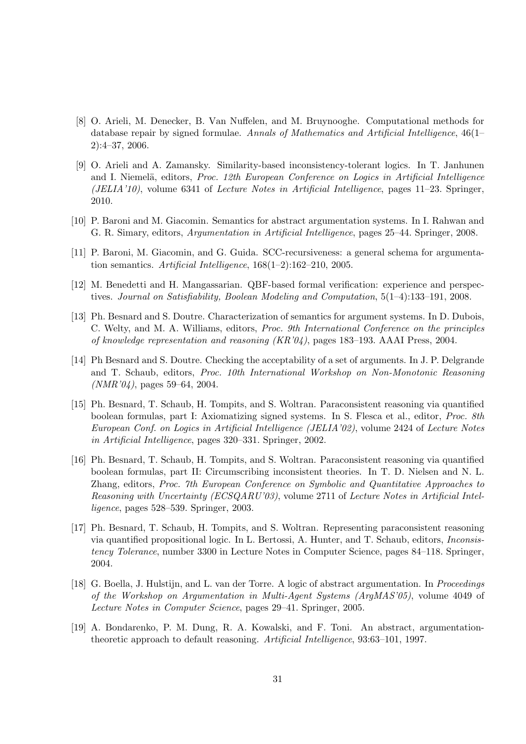- [8] O. Arieli, M. Denecker, B. Van Nuffelen, and M. Bruynooghe. Computational methods for database repair by signed formulae. *Annals of Mathematics and Artificial Intelligence*, 46(1– 2):4–37, 2006.
- [9] O. Arieli and A. Zamansky. Similarity-based inconsistency-tolerant logics. In T. Janhunen and I. Niemelä, editors, *Proc. 12th European Conference on Logics in Artificial Intelligence (JELIA'10)*, volume 6341 of *Lecture Notes in Artificial Intelligence*, pages 11–23. Springer, 2010.
- [10] P. Baroni and M. Giacomin. Semantics for abstract argumentation systems. In I. Rahwan and G. R. Simary, editors, *Argumentation in Artificial Intelligence*, pages 25–44. Springer, 2008.
- [11] P. Baroni, M. Giacomin, and G. Guida. SCC-recursiveness: a general schema for argumentation semantics. *Artificial Intelligence*, 168(1–2):162–210, 2005.
- [12] M. Benedetti and H. Mangassarian. QBF-based formal verification: experience and perspectives. *Journal on Satisfiability, Boolean Modeling and Computation*, 5(1–4):133–191, 2008.
- [13] Ph. Besnard and S. Doutre. Characterization of semantics for argument systems. In D. Dubois, C. Welty, and M. A. Williams, editors, *Proc. 9th International Conference on the principles of knowledge representation and reasoning (KR'04)*, pages 183–193. AAAI Press, 2004.
- [14] Ph Besnard and S. Doutre. Checking the acceptability of a set of arguments. In J. P. Delgrande and T. Schaub, editors, *Proc. 10th International Workshop on Non-Monotonic Reasoning (NMR'04)*, pages 59–64, 2004.
- [15] Ph. Besnard, T. Schaub, H. Tompits, and S. Woltran. Paraconsistent reasoning via quantified boolean formulas, part I: Axiomatizing signed systems. In S. Flesca et al., editor, *Proc. 8th European Conf. on Logics in Artificial Intelligence (JELIA'02)*, volume 2424 of *Lecture Notes in Artificial Intelligence*, pages 320–331. Springer, 2002.
- [16] Ph. Besnard, T. Schaub, H. Tompits, and S. Woltran. Paraconsistent reasoning via quantified boolean formulas, part II: Circumscribing inconsistent theories. In T. D. Nielsen and N. L. Zhang, editors, *Proc. 7th European Conference on Symbolic and Quantitative Approaches to Reasoning with Uncertainty (ECSQARU'03)*, volume 2711 of *Lecture Notes in Artificial Intelligence*, pages 528–539. Springer, 2003.
- [17] Ph. Besnard, T. Schaub, H. Tompits, and S. Woltran. Representing paraconsistent reasoning via quantified propositional logic. In L. Bertossi, A. Hunter, and T. Schaub, editors, *Inconsistency Tolerance*, number 3300 in Lecture Notes in Computer Science, pages 84–118. Springer, 2004.
- [18] G. Boella, J. Hulstijn, and L. van der Torre. A logic of abstract argumentation. In *Proceedings of the Workshop on Argumentation in Multi-Agent Systems (ArgMAS'05)*, volume 4049 of *Lecture Notes in Computer Science*, pages 29–41. Springer, 2005.
- [19] A. Bondarenko, P. M. Dung, R. A. Kowalski, and F. Toni. An abstract, argumentationtheoretic approach to default reasoning. *Artificial Intelligence*, 93:63–101, 1997.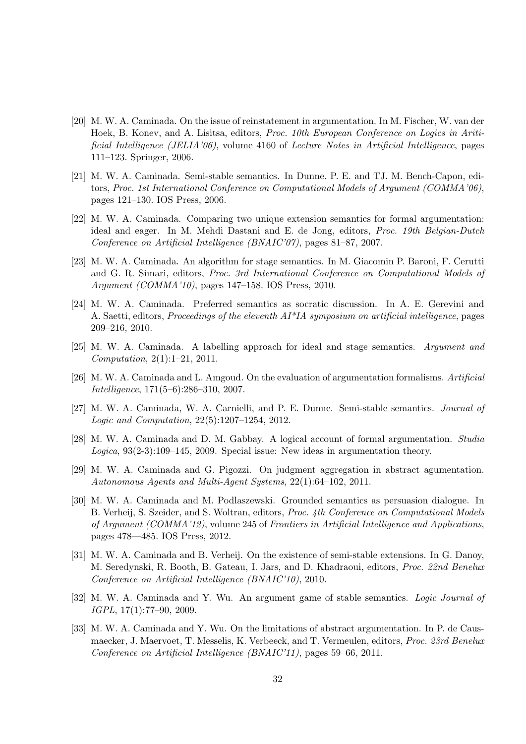- [20] M. W. A. Caminada. On the issue of reinstatement in argumentation. In M. Fischer, W. van der Hoek, B. Konev, and A. Lisitsa, editors, *Proc. 10th European Conference on Logics in Aritificial Intelligence (JELIA'06)*, volume 4160 of *Lecture Notes in Artificial Intelligence*, pages 111–123. Springer, 2006.
- [21] M. W. A. Caminada. Semi-stable semantics. In Dunne. P. E. and TJ. M. Bench-Capon, editors, *Proc. 1st International Conference on Computational Models of Argument (COMMA'06)*, pages 121–130. IOS Press, 2006.
- [22] M. W. A. Caminada. Comparing two unique extension semantics for formal argumentation: ideal and eager. In M. Mehdi Dastani and E. de Jong, editors, *Proc. 19th Belgian-Dutch Conference on Artificial Intelligence (BNAIC'07)*, pages 81–87, 2007.
- [23] M. W. A. Caminada. An algorithm for stage semantics. In M. Giacomin P. Baroni, F. Cerutti and G. R. Simari, editors, *Proc. 3rd International Conference on Computational Models of Argument (COMMA'10)*, pages 147–158. IOS Press, 2010.
- [24] M. W. A. Caminada. Preferred semantics as socratic discussion. In A. E. Gerevini and A. Saetti, editors, *Proceedings of the eleventh AI\*IA symposium on artificial intelligence*, pages 209–216, 2010.
- [25] M. W. A. Caminada. A labelling approach for ideal and stage semantics. *Argument and Computation*, 2(1):1–21, 2011.
- [26] M. W. A. Caminada and L. Amgoud. On the evaluation of argumentation formalisms. *Artificial Intelligence*, 171(5–6):286–310, 2007.
- [27] M. W. A. Caminada, W. A. Carnielli, and P. E. Dunne. Semi-stable semantics. *Journal of Logic and Computation*, 22(5):1207–1254, 2012.
- [28] M. W. A. Caminada and D. M. Gabbay. A logical account of formal argumentation. *Studia Logica*, 93(2-3):109–145, 2009. Special issue: New ideas in argumentation theory.
- [29] M. W. A. Caminada and G. Pigozzi. On judgment aggregation in abstract agumentation. *Autonomous Agents and Multi-Agent Systems*, 22(1):64–102, 2011.
- [30] M. W. A. Caminada and M. Podlaszewski. Grounded semantics as persuasion dialogue. In B. Verheij, S. Szeider, and S. Woltran, editors, *Proc. 4th Conference on Computational Models of Argument (COMMA'12)*, volume 245 of *Frontiers in Artificial Intelligence and Applications*, pages 478—485. IOS Press, 2012.
- [31] M. W. A. Caminada and B. Verheij. On the existence of semi-stable extensions. In G. Danoy, M. Seredynski, R. Booth, B. Gateau, I. Jars, and D. Khadraoui, editors, *Proc. 22nd Benelux Conference on Artificial Intelligence (BNAIC'10)*, 2010.
- [32] M. W. A. Caminada and Y. Wu. An argument game of stable semantics. *Logic Journal of IGPL*, 17(1):77–90, 2009.
- [33] M. W. A. Caminada and Y. Wu. On the limitations of abstract argumentation. In P. de Causmaecker, J. Maervoet, T. Messelis, K. Verbeeck, and T. Vermeulen, editors, *Proc. 23rd Benelux Conference on Artificial Intelligence (BNAIC'11)*, pages 59–66, 2011.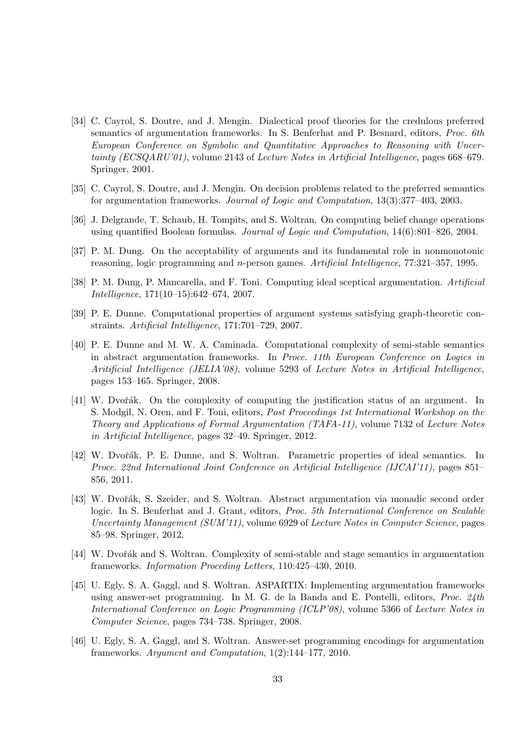- [34] C. Cayrol, S. Doutre, and J. Mengin. Dialectical proof theories for the credulous preferred semantics of argumentation frameworks. In S. Benferhat and P. Besnard, editors, *Proc. 6th European Conference on Symbolic and Quantitative Approaches to Reasoning with Uncertainty (ECSQARU'01)*, volume 2143 of *Lecture Notes in Artificial Intelligence*, pages 668–679. Springer, 2001.
- [35] C. Cayrol, S. Doutre, and J. Mengin. On decision problems related to the preferred semantics for argumentation frameworks. *Journal of Logic and Computation*, 13(3):377–403, 2003.
- [36] J. Delgrande, T. Schaub, H. Tompits, and S. Woltran. On computing belief change operations using quantified Boolean formulas. *Journal of Logic and Computation*, 14(6):801–826, 2004.
- [37] P. M. Dung. On the acceptability of arguments and its fundamental role in nonmonotonic reasoning, logic programming and *n*-person games. *Artificial Intelligence*, 77:321–357, 1995.
- [38] P. M. Dung, P. Mancarella, and F. Toni. Computing ideal sceptical argumentation. *Artificial Intelligence*, 171(10–15):642–674, 2007.
- [39] P. E. Dunne. Computational properties of argument systems satisfying graph-theoretic constraints. *Artificial Intelligence*, 171:701–729, 2007.
- [40] P. E. Dunne and M. W. A. Caminada. Computational complexity of semi-stable semantics in abstract argumentation frameworks. In *Proce. 11th European Conference on Logics in Aritificial Intelligence (JELIA'08)*, volume 5293 of *Lecture Notes in Artificial Intelligence*, pages 153–165. Springer, 2008.
- [41] W. Dvořák. On the complexity of computing the justification status of an argument. In S. Modgil, N. Oren, and F. Toni, editors, *Post Proceedings 1st International Workshop on the Theory and Applications of Formal Argumentation (TAFA-11)*, volume 7132 of *Lecture Notes in Artificial Intelligence*, pages 32–49. Springer, 2012.
- [42] W. Dvořák, P. E. Dunne, and S. Woltran. Parametric properties of ideal semantics. In *Proce. 22nd International Joint Conference on Artificial Intelligence (IJCAI'11)*, pages 851– 856, 2011.
- [43] W. Dvořák, S. Szeider, and S. Woltran. Abstract argumentation via monadic second order logic. In S. Benferhat and J. Grant, editors, *Proc. 5th International Conference on Scalable Uncertainty Management (SUM'11)*, volume 6929 of *Lecture Notes in Computer Science*, pages 85–98. Springer, 2012.
- [44] W. Dvořák and S. Woltran. Complexity of semi-stable and stage semantics in argumentation frameworks. *Information Proceding Letters*, 110:425–430, 2010.
- [45] U. Egly, S. A. Gaggl, and S. Woltran. ASPARTIX: Implementing argumentation frameworks using answer-set programming. In M. G. de la Banda and E. Pontelli, editors, *Proc. 24th International Conference on Logic Programming (ICLP'08)*, volume 5366 of *Lecture Notes in Computer Science*, pages 734–738. Springer, 2008.
- [46] U. Egly, S. A. Gaggl, and S. Woltran. Answer-set programming encodings for argumentation frameworks. *Argument and Computation*, 1(2):144–177, 2010.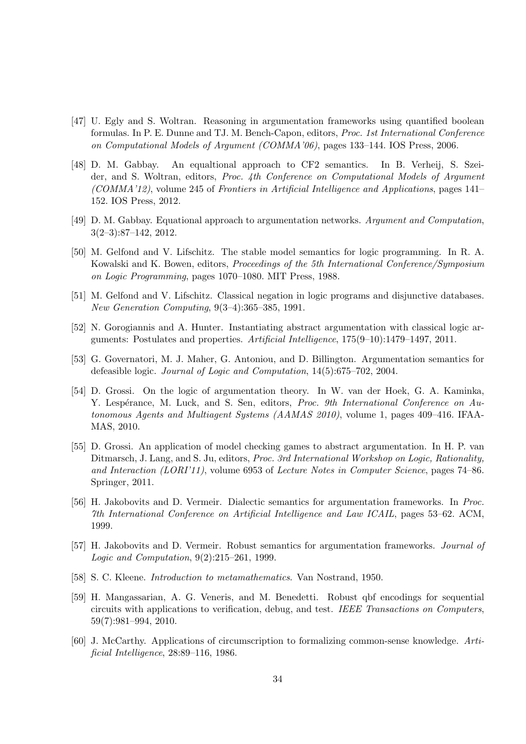- [47] U. Egly and S. Woltran. Reasoning in argumentation frameworks using quantified boolean formulas. In P. E. Dunne and TJ. M. Bench-Capon, editors, *Proc. 1st International Conference on Computational Models of Argument (COMMA'06)*, pages 133–144. IOS Press, 2006.
- [48] D. M. Gabbay. An equaltional approach to CF2 semantics. In B. Verheij, S. Szeider, and S. Woltran, editors, *Proc. 4th Conference on Computational Models of Argument (COMMA'12)*, volume 245 of *Frontiers in Artificial Intelligence and Applications*, pages 141– 152. IOS Press, 2012.
- [49] D. M. Gabbay. Equational approach to argumentation networks. *Argument and Computation*, 3(2–3):87–142, 2012.
- [50] M. Gelfond and V. Lifschitz. The stable model semantics for logic programming. In R. A. Kowalski and K. Bowen, editors, *Proceedings of the 5th International Conference/Symposium on Logic Programming*, pages 1070–1080. MIT Press, 1988.
- [51] M. Gelfond and V. Lifschitz. Classical negation in logic programs and disjunctive databases. *New Generation Computing*, 9(3–4):365–385, 1991.
- [52] N. Gorogiannis and A. Hunter. Instantiating abstract argumentation with classical logic arguments: Postulates and properties. *Artificial Intelligence*, 175(9–10):1479–1497, 2011.
- [53] G. Governatori, M. J. Maher, G. Antoniou, and D. Billington. Argumentation semantics for defeasible logic. *Journal of Logic and Computation*, 14(5):675–702, 2004.
- [54] D. Grossi. On the logic of argumentation theory. In W. van der Hoek, G. A. Kaminka, Y. Lespérance, M. Luck, and S. Sen, editors, Proc. 9th International Conference on Au*tonomous Agents and Multiagent Systems (AAMAS 2010)*, volume 1, pages 409–416. IFAA-MAS, 2010.
- [55] D. Grossi. An application of model checking games to abstract argumentation. In H. P. van Ditmarsch, J. Lang, and S. Ju, editors, *Proc. 3rd International Workshop on Logic, Rationality, and Interaction (LORI'11)*, volume 6953 of *Lecture Notes in Computer Science*, pages 74–86. Springer, 2011.
- [56] H. Jakobovits and D. Vermeir. Dialectic semantics for argumentation frameworks. In *Proc. 7th International Conference on Artificial Intelligence and Law ICAIL*, pages 53–62. ACM, 1999.
- [57] H. Jakobovits and D. Vermeir. Robust semantics for argumentation frameworks. *Journal of Logic and Computation*, 9(2):215–261, 1999.
- [58] S. C. Kleene. *Introduction to metamathematics*. Van Nostrand, 1950.
- [59] H. Mangassarian, A. G. Veneris, and M. Benedetti. Robust qbf encodings for sequential circuits with applications to verification, debug, and test. *IEEE Transactions on Computers*, 59(7):981–994, 2010.
- [60] J. McCarthy. Applications of circumscription to formalizing common-sense knowledge. *Artificial Intelligence*, 28:89–116, 1986.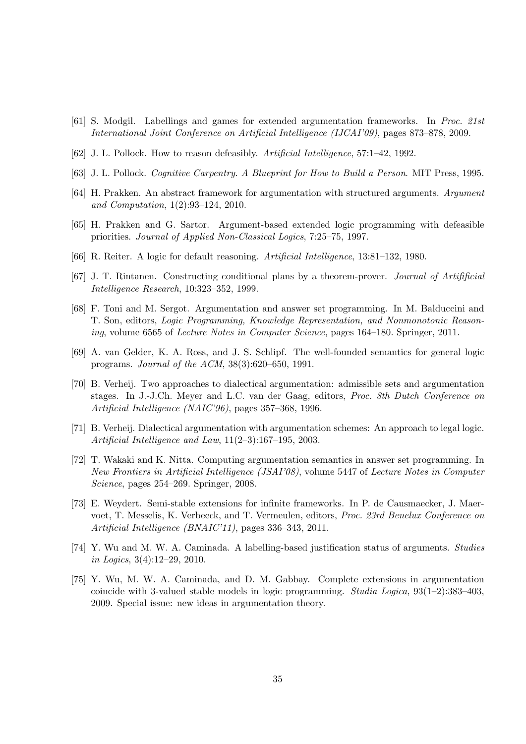- [61] S. Modgil. Labellings and games for extended argumentation frameworks. In *Proc. 21st International Joint Conference on Artificial Intelligence (IJCAI'09)*, pages 873–878, 2009.
- [62] J. L. Pollock. How to reason defeasibly. *Artificial Intelligence*, 57:1–42, 1992.
- [63] J. L. Pollock. *Cognitive Carpentry. A Blueprint for How to Build a Person*. MIT Press, 1995.
- [64] H. Prakken. An abstract framework for argumentation with structured arguments. *Argument and Computation*, 1(2):93–124, 2010.
- [65] H. Prakken and G. Sartor. Argument-based extended logic programming with defeasible priorities. *Journal of Applied Non-Classical Logics*, 7:25–75, 1997.
- [66] R. Reiter. A logic for default reasoning. *Artificial Intelligence*, 13:81–132, 1980.
- [67] J. T. Rintanen. Constructing conditional plans by a theorem-prover. *Journal of Artifificial Intelligence Research*, 10:323–352, 1999.
- [68] F. Toni and M. Sergot. Argumentation and answer set programming. In M. Balduccini and T. Son, editors, *Logic Programming, Knowledge Representation, and Nonmonotonic Reasoning*, volume 6565 of *Lecture Notes in Computer Science*, pages 164–180. Springer, 2011.
- [69] A. van Gelder, K. A. Ross, and J. S. Schlipf. The well-founded semantics for general logic programs. *Journal of the ACM*, 38(3):620–650, 1991.
- [70] B. Verheij. Two approaches to dialectical argumentation: admissible sets and argumentation stages. In J.-J.Ch. Meyer and L.C. van der Gaag, editors, *Proc. 8th Dutch Conference on Artificial Intelligence (NAIC'96)*, pages 357–368, 1996.
- [71] B. Verheij. Dialectical argumentation with argumentation schemes: An approach to legal logic. *Artificial Intelligence and Law*, 11(2–3):167–195, 2003.
- [72] T. Wakaki and K. Nitta. Computing argumentation semantics in answer set programming. In *New Frontiers in Artificial Intelligence (JSAI'08)*, volume 5447 of *Lecture Notes in Computer Science*, pages 254–269. Springer, 2008.
- [73] E. Weydert. Semi-stable extensions for infinite frameworks. In P. de Causmaecker, J. Maervoet, T. Messelis, K. Verbeeck, and T. Vermeulen, editors, *Proc. 23rd Benelux Conference on Artificial Intelligence (BNAIC'11)*, pages 336–343, 2011.
- [74] Y. Wu and M. W. A. Caminada. A labelling-based justification status of arguments. *Studies in Logics*, 3(4):12–29, 2010.
- [75] Y. Wu, M. W. A. Caminada, and D. M. Gabbay. Complete extensions in argumentation coincide with 3-valued stable models in logic programming. *Studia Logica*, 93(1–2):383–403, 2009. Special issue: new ideas in argumentation theory.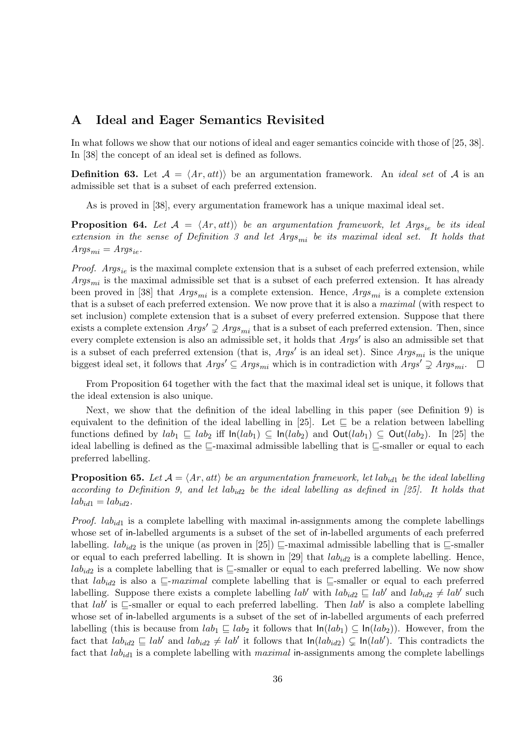### **A Ideal and Eager Semantics Revisited**

In what follows we show that our notions of ideal and eager semantics coincide with those of [25, 38]. In [38] the concept of an ideal set is defined as follows.

**Definition 63.** Let  $A = \langle Ar, att \rangle$  be an argumentation framework. An *ideal set* of A is an admissible set that is a subset of each preferred extension.

As is proved in [38], every argumentation framework has a unique maximal ideal set.

**Proposition 64.** *Let*  $A = \langle Ar, att \rangle$  *be an argumentation framework, let Args*<sub>ie</sub> *be its ideal extension in the sense of Definition 3 and let Argsmi be its maximal ideal set. It holds that*  $A \textit{rgs}_{mi} = \textit{A} \textit{rgs}_{ie}.$ 

*Proof. Args*<sub>ie</sub> is the maximal complete extension that is a subset of each preferred extension, while *Argsmi* is the maximal admissible set that is a subset of each preferred extension. It has already been proved in [38] that *Argsmi* is a complete extension. Hence, *Argsmi* is a complete extension that is a subset of each preferred extension. We now prove that it is also a *maximal* (with respect to set inclusion) complete extension that is a subset of every preferred extension. Suppose that there exists a complete extension  $Args' \supsetneq Args_{mi}$  that is a subset of each preferred extension. Then, since every complete extension is also an admissible set, it holds that *Args′* is also an admissible set that is a subset of each preferred extension (that is, *Args′* is an ideal set). Since *Argsmi* is the unique biggest ideal set, it follows that  $Args' \subseteq Args_{mi}$  which is in contradiction with  $Args' \supsetneq Args_{mi}$ .

From Proposition 64 together with the fact that the maximal ideal set is unique, it follows that the ideal extension is also unique.

Next, we show that the definition of the ideal labelling in this paper (see Definition 9) is equivalent to the definition of the ideal labelling in [25]. Let *⊑* be a relation between labelling functions defined by  $lab_1 \subseteq lab_2$  iff  $ln(lab_1) \subseteq ln(lab_2)$  and  $Out(lab_1) \subseteq Out(lab_2)$ . In [25] the ideal labelling is defined as the *⊑*-maximal admissible labelling that is *⊑*-smaller or equal to each preferred labelling.

**Proposition 65.** Let  $A = \langle Ar, att \rangle$  be an argumentation framework, let  $lab_{id1}$  be the ideal labelling *according to Definition 9, and let labid*<sup>2</sup> *be the ideal labelling as defined in [25]. It holds that*  $lab_{id1} = lab_{id2}.$ 

*Proof. lab*<sub>*id*1</sub> is a complete labelling with maximal in-assignments among the complete labellings whose set of in-labelled arguments is a subset of the set of in-labelled arguments of each preferred labelling. *lab<sub>id2</sub>* is the unique (as proven in [25])  $\subseteq$ -maximal admissible labelling that is  $\subseteq$ -smaller or equal to each preferred labelling. It is shown in [29] that  $lab_{id2}$  is a complete labelling. Hence, *lab*<sub>*id*2</sub> is a complete labelling that is *⊑*-smaller or equal to each preferred labelling. We now show that  $lab_{id2}$  is also a  $\subseteq$ -*maximal* complete labelling that is  $\subseteq$ -smaller or equal to each preferred labelling. Suppose there exists a complete labelling  $lab'$  with  $lab_{id2} \subseteq lab'$  and  $lab_{id2} \neq lab'$  such that *lab′* is *⊑*-smaller or equal to each preferred labelling. Then *lab′* is also a complete labelling whose set of in-labelled arguments is a subset of the set of in-labelled arguments of each preferred labelling (this is because from  $lab_1 ⊆ lab_2$  it follows that  $ln(lab_1) ⊆ ln(lab_2)$ ). However, from the fact that  $lab_{id2} \subseteq lab'$  and  $lab_{id2} \neq lab'$  it follows that  $ln(lab_{id2}) \subseteq ln(lab')$ . This contradicts the fact that *labid*<sup>1</sup> is a complete labelling with *maximal* in-assignments among the complete labellings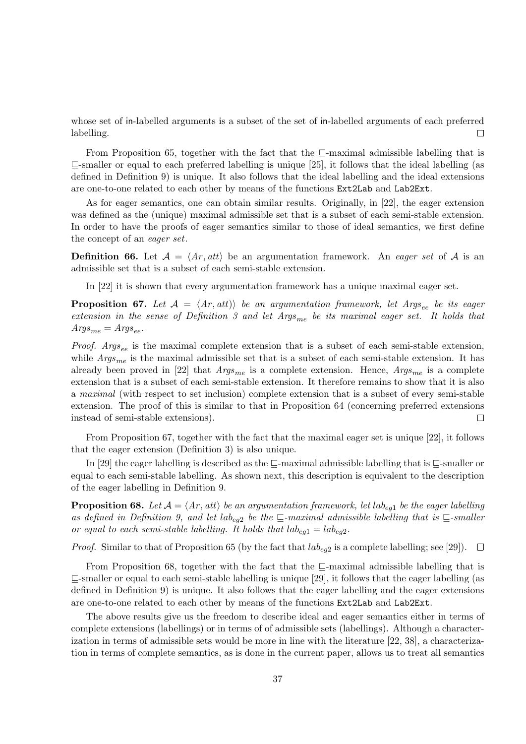whose set of in-labelled arguments is a subset of the set of in-labelled arguments of each preferred labelling. П

From Proposition 65, together with the fact that the *⊑*-maximal admissible labelling that is *⊑*-smaller or equal to each preferred labelling is unique [25], it follows that the ideal labelling (as defined in Definition 9) is unique. It also follows that the ideal labelling and the ideal extensions are one-to-one related to each other by means of the functions Ext2Lab and Lab2Ext.

As for eager semantics, one can obtain similar results. Originally, in [22], the eager extension was defined as the (unique) maximal admissible set that is a subset of each semi-stable extension. In order to have the proofs of eager semantics similar to those of ideal semantics, we first define the concept of an *eager set*.

**Definition 66.** Let  $A = \langle Ar, att \rangle$  be an argumentation framework. An *eager set* of A is an admissible set that is a subset of each semi-stable extension.

In [22] it is shown that every argumentation framework has a unique maximal eager set.

**Proposition 67.** *Let*  $A = \langle Ar, att \rangle$  *be an argumentation framework, let Args<sub>ee</sub> <i>be its eager extension in the sense of Definition 3 and let Argsme be its maximal eager set. It holds that*  $A \, \textit{rgs}_{\textit{me}} = \textit{A} \, \textit{rgs}_{\textit{ee}}.$ 

*Proof. Args*<sub>ee</sub> is the maximal complete extension that is a subset of each semi-stable extension, while  $Arg_{me}$  is the maximal admissible set that is a subset of each semi-stable extension. It has already been proved in [22] that *Argsme* is a complete extension. Hence, *Argsme* is a complete extension that is a subset of each semi-stable extension. It therefore remains to show that it is also a *maximal* (with respect to set inclusion) complete extension that is a subset of every semi-stable extension. The proof of this is similar to that in Proposition 64 (concerning preferred extensions instead of semi-stable extensions).  $\Box$ 

From Proposition 67, together with the fact that the maximal eager set is unique [22], it follows that the eager extension (Definition 3) is also unique.

In [29] the eager labelling is described as the *⊑*-maximal admissible labelling that is *⊑*-smaller or equal to each semi-stable labelling. As shown next, this description is equivalent to the description of the eager labelling in Definition 9.

**Proposition 68.** Let  $A = \langle Ar, att \rangle$  be an argumentation framework, let  $lab_{eg1}$  be the eager labelling as defined in Definition 9, and let  $lab_{eq2}$  be the  $\sqsubseteq$ -maximal admissible labelling that is  $\sqsubseteq$ -smaller *or equal to each semi-stable labelling. It holds that*  $lab_{eq1} = lab_{eq2}$ .

*Proof.* Similar to that of Proposition 65 (by the fact that *labeg*<sup>2</sup> is a complete labelling; see [29]).  $\overline{\phantom{a}}$ 

From Proposition 68, together with the fact that the *⊑*-maximal admissible labelling that is *⊑*-smaller or equal to each semi-stable labelling is unique [29], it follows that the eager labelling (as defined in Definition 9) is unique. It also follows that the eager labelling and the eager extensions are one-to-one related to each other by means of the functions Ext2Lab and Lab2Ext.

The above results give us the freedom to describe ideal and eager semantics either in terms of complete extensions (labellings) or in terms of of admissible sets (labellings). Although a characterization in terms of admissible sets would be more in line with the literature [22, 38], a characterization in terms of complete semantics, as is done in the current paper, allows us to treat all semantics